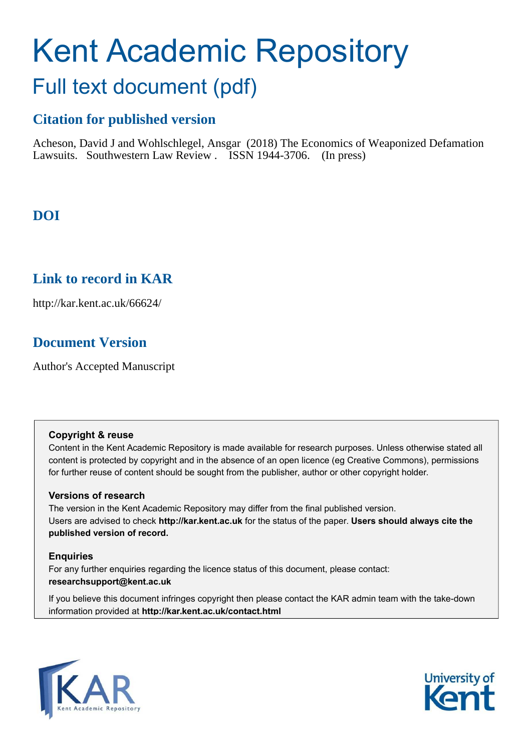# Kent Academic Repository Full text document (pdf)

## **Citation for published version**

Acheson, David J and Wohlschlegel, Ansgar (2018) The Economics of Weaponized Defamation Lawsuits. Southwestern Law Review . ISSN 1944-3706. (In press)

### **DOI**

### **Link to record in KAR**

http://kar.kent.ac.uk/66624/

### **Document Version**

Author's Accepted Manuscript

#### **Copyright & reuse**

Content in the Kent Academic Repository is made available for research purposes. Unless otherwise stated all content is protected by copyright and in the absence of an open licence (eg Creative Commons), permissions for further reuse of content should be sought from the publisher, author or other copyright holder.

### **Versions of research**

The version in the Kent Academic Repository may differ from the final published version. Users are advised to check **http://kar.kent.ac.uk** for the status of the paper. **Users should always cite the published version of record.**

### **Enquiries**

For any further enquiries regarding the licence status of this document, please contact: **researchsupport@kent.ac.uk**

If you believe this document infringes copyright then please contact the KAR admin team with the take-down information provided at **http://kar.kent.ac.uk/contact.html**



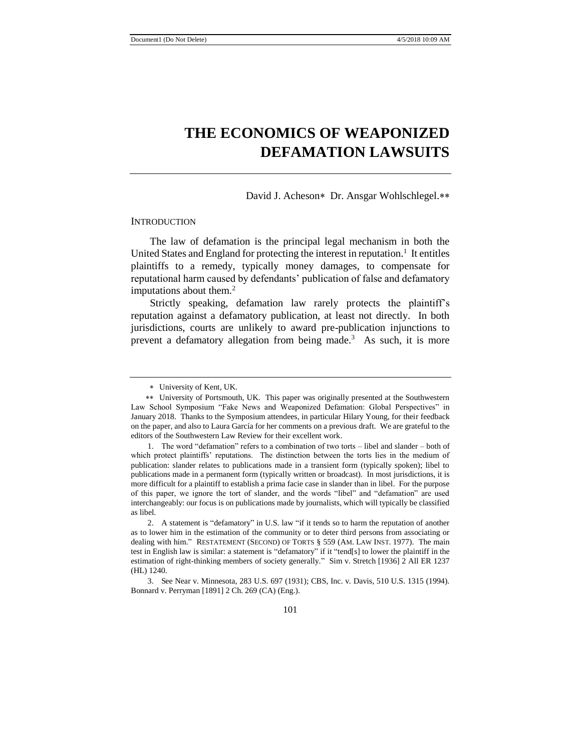David J. Acheson\* Dr. Ansgar Wohlschlegel.\*\*

#### **INTRODUCTION**

The law of defamation is the principal legal mechanism in both the United States and England for protecting the interest in reputation.<sup>1</sup> It entitles plaintiffs to a remedy, typically money damages, to compensate for reputational harm caused by defendants' publication of false and defamatory imputations about them.<sup>2</sup>

Strictly speaking, defamation law rarely protects the plaintiff's reputation against a defamatory publication, at least not directly. In both jurisdictions, courts are unlikely to award pre-publication injunctions to prevent a defamatory allegation from being made.<sup>3</sup> As such, it is more

 3. See Near v. Minnesota, 283 U.S. 697 (1931); CBS, Inc. v. Davis, 510 U.S. 1315 (1994). Bonnard v. Perryman [1891] 2 Ch. 269 (CA) (Eng.).

University of Kent, UK.

University of Portsmouth, UK. This paper was originally presented at the Southwestern Law School Symposium "Fake News and Weaponized Defamation: Global Perspectives" in January 2018. Thanks to the Symposium attendees, in particular Hilary Young, for their feedback on the paper, and also to Laura García for her comments on a previous draft. We are grateful to the editors of the Southwestern Law Review for their excellent work.

 <sup>1.</sup> The word "defamation" refers to a combination of two torts – libel and slander – both of which protect plaintiffs' reputations. The distinction between the torts lies in the medium of publication: slander relates to publications made in a transient form (typically spoken); libel to publications made in a permanent form (typically written or broadcast). In most jurisdictions, it is more difficult for a plaintiff to establish a prima facie case in slander than in libel. For the purpose of this paper, we ignore the tort of slander, and the words "libel" and "defamation" are used interchangeably: our focus is on publications made by journalists, which will typically be classified as libel.

 <sup>2.</sup> A statement is "defamatory" in U.S. law "if it tends so to harm the reputation of another as to lower him in the estimation of the community or to deter third persons from associating or dealing with him." RESTATEMENT (SECOND) OF TORTS § 559 (AM. LAW INST. 1977). The main test in English law is similar: a statement is "defamatory" if it "tend[s] to lower the plaintiff in the estimation of right-thinking members of society generally." Sim v. Stretch [1936] 2 All ER 1237 (HL) 1240.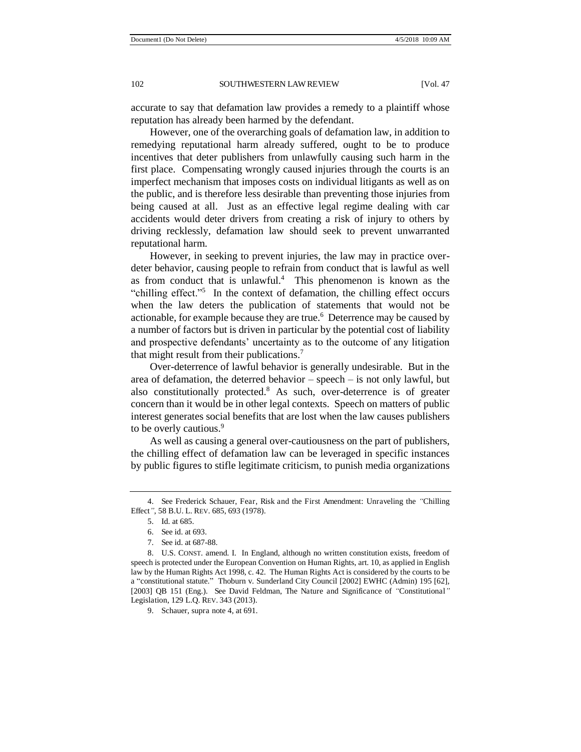accurate to say that defamation law provides a remedy to a plaintiff whose reputation has already been harmed by the defendant.

However, one of the overarching goals of defamation law, in addition to remedying reputational harm already suffered, ought to be to produce incentives that deter publishers from unlawfully causing such harm in the first place. Compensating wrongly caused injuries through the courts is an imperfect mechanism that imposes costs on individual litigants as well as on the public, and is therefore less desirable than preventing those injuries from being caused at all. Just as an effective legal regime dealing with car accidents would deter drivers from creating a risk of injury to others by driving recklessly, defamation law should seek to prevent unwarranted reputational harm.

However, in seeking to prevent injuries, the law may in practice overdeter behavior, causing people to refrain from conduct that is lawful as well as from conduct that is unlawful. $4$  This phenomenon is known as the "chilling effect."<sup>5</sup> In the context of defamation, the chilling effect occurs when the law deters the publication of statements that would not be actionable, for example because they are true.<sup>6</sup> Deterrence may be caused by a number of factors but is driven in particular by the potential cost of liability and prospective defendants' uncertainty as to the outcome of any litigation that might result from their publications.<sup>7</sup>

Over-deterrence of lawful behavior is generally undesirable. But in the area of defamation, the deterred behavior – speech – is not only lawful, but also constitutionally protected.<sup>8</sup> As such, over-deterrence is of greater concern than it would be in other legal contexts. Speech on matters of public interest generates social benefits that are lost when the law causes publishers to be overly cautious.<sup>9</sup>

As well as causing a general over-cautiousness on the part of publishers, the chilling effect of defamation law can be leveraged in specific instances by public figures to stifle legitimate criticism, to punish media organizations

 <sup>4.</sup> See Frederick Schauer, Fear, Risk and the First Amendment: Unraveling the *"*Chilling Effect*"*, 58 B.U. L. REV. 685, 693 (1978).

 <sup>5.</sup> Id. at 685.

 <sup>6.</sup> See id. at 693.

 <sup>7.</sup> See id. at 687-88.

 <sup>8.</sup> U.S. CONST. amend. I. In England, although no written constitution exists, freedom of speech is protected under the European Convention on Human Rights, art. 10, as applied in English law by the Human Rights Act 1998, c. 42. The Human Rights Act is considered by the courts to be a "constitutional statute." Thoburn v. Sunderland City Council [2002] EWHC (Admin) 195 [62], [2003] QB 151 (Eng.). See David Feldman, The Nature and Significance of *"*Constitutional*"* Legislation, 129 L.Q. REV. 343 (2013).

 <sup>9.</sup> Schauer, supra note 4, at 691.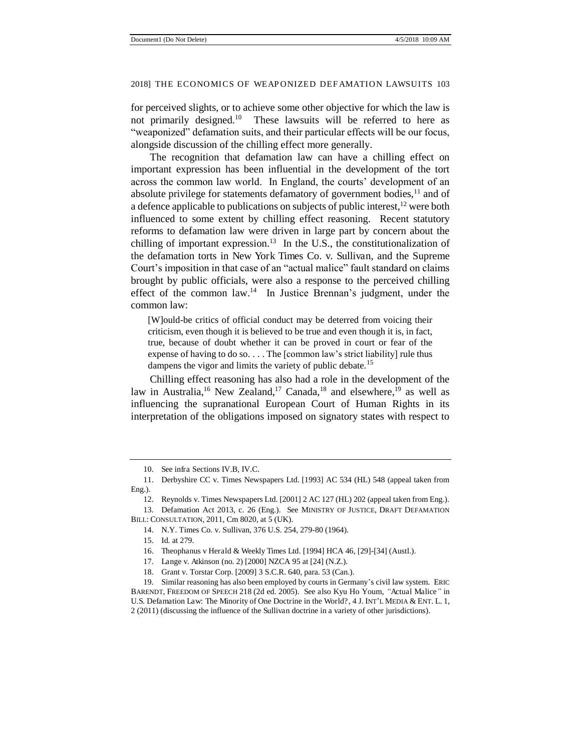for perceived slights, or to achieve some other objective for which the law is not primarily designed.<sup>10</sup> These lawsuits will be referred to here as "weaponized" defamation suits, and their particular effects will be our focus, alongside discussion of the chilling effect more generally.

The recognition that defamation law can have a chilling effect on important expression has been influential in the development of the tort across the common law world. In England, the courts' development of an absolute privilege for statements defamatory of government bodies, $<sup>11</sup>$  and of</sup> a defence applicable to publications on subjects of public interest,<sup>12</sup> were both influenced to some extent by chilling effect reasoning. Recent statutory reforms to defamation law were driven in large part by concern about the chilling of important expression.<sup>13</sup> In the U.S., the constitutionalization of the defamation torts in New York Times Co. v. Sullivan, and the Supreme Court's imposition in that case of an "actual malice" fault standard on claims brought by public officials, were also a response to the perceived chilling effect of the common law.<sup>14</sup> In Justice Brennan's judgment, under the common law:

[W]ould-be critics of official conduct may be deterred from voicing their criticism, even though it is believed to be true and even though it is, in fact, true, because of doubt whether it can be proved in court or fear of the expense of having to do so. . . . The [common law's strict liability] rule thus dampens the vigor and limits the variety of public debate.<sup>15</sup>

Chilling effect reasoning has also had a role in the development of the law in Australia,<sup>16</sup> New Zealand,<sup>17</sup> Canada,<sup>18</sup> and elsewhere,<sup>19</sup> as well as influencing the supranational European Court of Human Rights in its interpretation of the obligations imposed on signatory states with respect to

BILL: CONSULTATION, 2011, Cm 8020, at 5 (UK).

<sup>10.</sup> See infra Sections IV.B, IV.C.

<sup>11.</sup> Derbyshire CC v. Times Newspapers Ltd. [1993] AC 534 (HL) 548 (appeal taken from Eng.).

<sup>12.</sup> Reynolds v. Times Newspapers Ltd. [2001] 2 AC 127 (HL) 202 (appeal taken from Eng.).

<sup>13.</sup> Defamation Act 2013, c. 26 (Eng.). See MINISTRY OF JUSTICE, DRAFT DEFAMATION

<sup>14.</sup> N.Y. Times Co. v. Sullivan, 376 U.S. 254, 279-80 (1964).

<sup>15.</sup> Id. at 279.

<sup>16.</sup> Theophanus v Herald & Weekly Times Ltd. [1994] HCA 46, [29]-[34] (Austl.).

<sup>17.</sup> Lange v. Atkinson (no. 2) [2000] NZCA 95 at [24] (N.Z.).

<sup>18.</sup> Grant v. Torstar Corp. [2009] 3 S.C.R. 640, para. 53 (Can.).

<sup>19.</sup> Similar reasoning has also been employed by courts in Germany's civil law system. ERIC BARENDT, FREEDOM OF SPEECH 218 (2d ed. 2005). See also Kyu Ho Youm, *"*Actual Malice*"* in U.S. Defamation Law: The Minority of One Doctrine in the World?, 4 J. INT'L MEDIA & ENT. L. 1, 2 (2011) (discussing the influence of the Sullivan doctrine in a variety of other jurisdictions).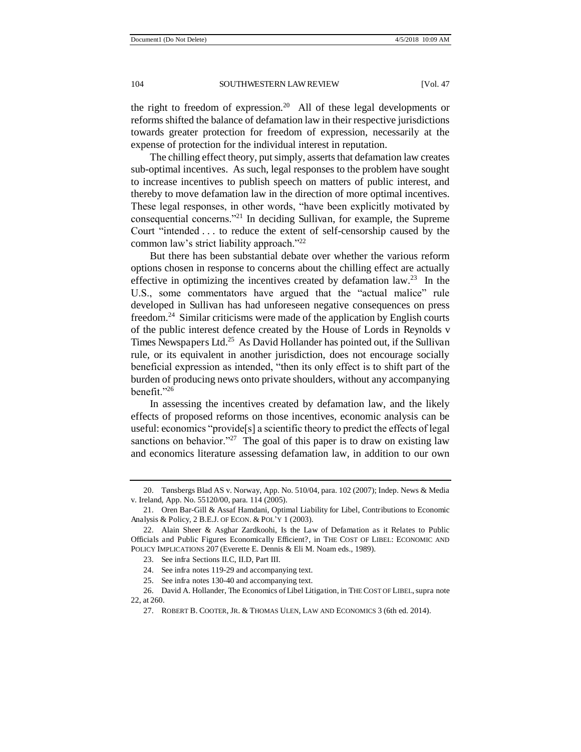the right to freedom of expression.<sup>20</sup> All of these legal developments or reforms shifted the balance of defamation law in their respective jurisdictions towards greater protection for freedom of expression, necessarily at the expense of protection for the individual interest in reputation.

The chilling effect theory, put simply, asserts that defamation law creates sub-optimal incentives. As such, legal responses to the problem have sought to increase incentives to publish speech on matters of public interest, and thereby to move defamation law in the direction of more optimal incentives. These legal responses, in other words, "have been explicitly motivated by consequential concerns."<sup>21</sup> In deciding Sullivan, for example, the Supreme Court "intended . . . to reduce the extent of self-censorship caused by the common law's strict liability approach."<sup>22</sup>

But there has been substantial debate over whether the various reform options chosen in response to concerns about the chilling effect are actually effective in optimizing the incentives created by defamation  $law.^{23}$  In the U.S., some commentators have argued that the "actual malice" rule developed in Sullivan has had unforeseen negative consequences on press freedom.<sup>24</sup> Similar criticisms were made of the application by English courts of the public interest defence created by the House of Lords in Reynolds v Times Newspapers Ltd.<sup>25</sup> As David Hollander has pointed out, if the Sullivan rule, or its equivalent in another jurisdiction, does not encourage socially beneficial expression as intended, "then its only effect is to shift part of the burden of producing news onto private shoulders, without any accompanying benefit."<sup>26</sup>

In assessing the incentives created by defamation law, and the likely effects of proposed reforms on those incentives, economic analysis can be useful: economics "provide[s] a scientific theory to predict the effects of legal sanctions on behavior."<sup>27</sup> The goal of this paper is to draw on existing law and economics literature assessing defamation law, in addition to our own

<sup>20.</sup> Tønsbergs Blad AS v. Norway, App. No. 510/04, para. 102 (2007); Indep. News & Media v. Ireland, App. No. 55120/00, para. 114 (2005).

<sup>21.</sup> Oren Bar-Gill & Assaf Hamdani, Optimal Liability for Libel, Contributions to Economic Analysis & Policy, 2 B.E.J. OF ECON. & POL'Y 1 (2003).

<sup>22.</sup> Alain Sheer & Asghar Zardkoohi, Is the Law of Defamation as it Relates to Public Officials and Public Figures Economically Efficient?, in THE COST OF LIBEL: ECONOMIC AND POLICY IMPLICATIONS 207 (Everette E. Dennis & Eli M. Noam eds., 1989).

<sup>23.</sup> See infra Sections II.C, II.D, Part III.

<sup>24.</sup> See infra notes 119-29 and accompanying text.

<sup>25.</sup> See infra notes 130-40 and accompanying text.

<sup>26.</sup> David A. Hollander, The Economics of Libel Litigation, in THE COST OF LIBEL, supra note 22, at 260.

<sup>27.</sup> ROBERT B. COOTER, JR. & THOMAS ULEN, LAW AND ECONOMICS 3 (6th ed. 2014).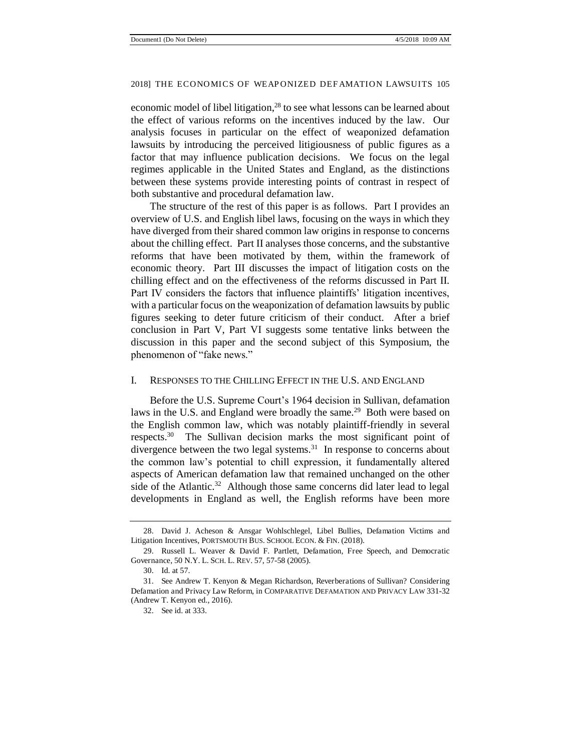economic model of libel litigation, $28$  to see what lessons can be learned about the effect of various reforms on the incentives induced by the law. Our analysis focuses in particular on the effect of weaponized defamation lawsuits by introducing the perceived litigiousness of public figures as a factor that may influence publication decisions. We focus on the legal regimes applicable in the United States and England, as the distinctions between these systems provide interesting points of contrast in respect of both substantive and procedural defamation law.

The structure of the rest of this paper is as follows. Part I provides an overview of U.S. and English libel laws, focusing on the ways in which they have diverged from their shared common law origins in response to concerns about the chilling effect. Part II analyses those concerns, and the substantive reforms that have been motivated by them, within the framework of economic theory. Part III discusses the impact of litigation costs on the chilling effect and on the effectiveness of the reforms discussed in Part II. Part IV considers the factors that influence plaintiffs' litigation incentives, with a particular focus on the weaponization of defamation lawsuits by public figures seeking to deter future criticism of their conduct. After a brief conclusion in Part V, Part VI suggests some tentative links between the discussion in this paper and the second subject of this Symposium, the phenomenon of "fake news."

#### I. RESPONSES TO THE CHILLING EFFECT IN THE U.S. AND ENGLAND

Before the U.S. Supreme Court's 1964 decision in Sullivan, defamation laws in the U.S. and England were broadly the same.<sup>29</sup> Both were based on the English common law, which was notably plaintiff-friendly in several respects.<sup>30</sup> The Sullivan decision marks the most significant point of divergence between the two legal systems.<sup>31</sup> In response to concerns about the common law's potential to chill expression, it fundamentally altered aspects of American defamation law that remained unchanged on the other side of the Atlantic.<sup>32</sup> Although those same concerns did later lead to legal developments in England as well, the English reforms have been more

<sup>28.</sup> David J. Acheson & Ansgar Wohlschlegel, Libel Bullies, Defamation Victims and Litigation Incentives, PORTSMOUTH BUS. SCHOOL ECON. & FIN. (2018).

<sup>29.</sup> Russell L. Weaver & David F. Partlett, Defamation, Free Speech, and Democratic Governance, 50 N.Y. L. SCH. L. REV. 57, 57-58 (2005).

<sup>30.</sup> Id. at 57.

<sup>31.</sup> See Andrew T. Kenyon & Megan Richardson, Reverberations of Sullivan? Considering Defamation and Privacy Law Reform, in COMPARATIVE DEFAMATION AND PRIVACY LAW 331-32 (Andrew T. Kenyon ed., 2016).

<sup>32.</sup> See id. at 333.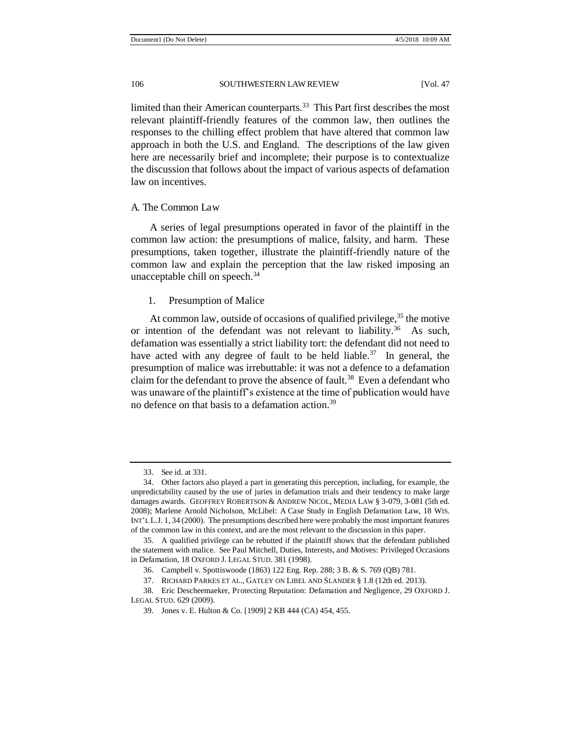limited than their American counterparts.<sup>33</sup> This Part first describes the most relevant plaintiff-friendly features of the common law, then outlines the responses to the chilling effect problem that have altered that common law approach in both the U.S. and England. The descriptions of the law given here are necessarily brief and incomplete; their purpose is to contextualize the discussion that follows about the impact of various aspects of defamation law on incentives.

#### A. The Common Law

A series of legal presumptions operated in favor of the plaintiff in the common law action: the presumptions of malice, falsity, and harm. These presumptions, taken together, illustrate the plaintiff-friendly nature of the common law and explain the perception that the law risked imposing an unacceptable chill on speech.<sup>34</sup>

#### 1. Presumption of Malice

At common law, outside of occasions of qualified privilege,  $35$  the motive or intention of the defendant was not relevant to liability.<sup>36</sup> As such, defamation was essentially a strict liability tort: the defendant did not need to have acted with any degree of fault to be held liable.<sup>37</sup> In general, the presumption of malice was irrebuttable: it was not a defence to a defamation claim for the defendant to prove the absence of fault.<sup>38</sup> Even a defendant who was unaware of the plaintiff's existence at the time of publication would have no defence on that basis to a defamation action.<sup>39</sup>

<sup>33.</sup> See id. at 331.

<sup>34.</sup> Other factors also played a part in generating this perception, including, for example, the unpredictability caused by the use of juries in defamation trials and their tendency to make large damages awards. GEOFFREY ROBERTSON & ANDREW NICOL, MEDIA LAW § 3-079, 3-081 (5th ed. 2008); Marlene Arnold Nicholson, McLibel: A Case Study in English Defamation Law, 18 WIS. INT'L L.J. 1, 34 (2000). The presumptions described here were probably the most important features of the common law in this context, and are the most relevant to the discussion in this paper.

<sup>35.</sup> A qualified privilege can be rebutted if the plaintiff shows that the defendant published the statement with malice. See Paul Mitchell, Duties, Interests, and Motives: Privileged Occasions in Defamation, 18 OXFORD J. LEGAL STUD. 381 (1998).

<sup>36.</sup> Campbell v. Spottiswoode (1863) 122 Eng. Rep. 288; 3 B. & S. 769 (QB) 781.

<sup>37.</sup> RICHARD PARKES ET AL., GATLEY ON LIBEL AND SLANDER § 1.8 (12th ed. 2013).

<sup>38.</sup> Eric Descheemaeker, Protecting Reputation: Defamation and Negligence, 29 OXFORD J. LEGAL STUD. 629 (2009).

<sup>39.</sup> Jones v. E. Hulton & Co. [1909] 2 KB 444 (CA) 454, 455.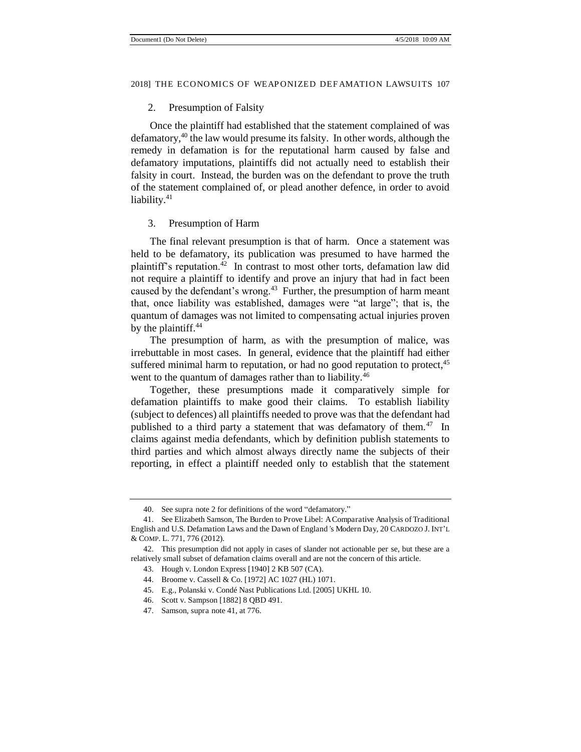#### 2. Presumption of Falsity

Once the plaintiff had established that the statement complained of was defamatory,<sup>40</sup> the law would presume its falsity. In other words, although the remedy in defamation is for the reputational harm caused by false and defamatory imputations, plaintiffs did not actually need to establish their falsity in court. Instead, the burden was on the defendant to prove the truth of the statement complained of, or plead another defence, in order to avoid liability.<sup>41</sup>

#### 3. Presumption of Harm

The final relevant presumption is that of harm. Once a statement was held to be defamatory, its publication was presumed to have harmed the plaintiff's reputation.<sup>42</sup> In contrast to most other torts, defamation law did not require a plaintiff to identify and prove an injury that had in fact been caused by the defendant's wrong.<sup>43</sup> Further, the presumption of harm meant that, once liability was established, damages were "at large"; that is, the quantum of damages was not limited to compensating actual injuries proven by the plaintiff.<sup>44</sup>

The presumption of harm, as with the presumption of malice, was irrebuttable in most cases. In general, evidence that the plaintiff had either suffered minimal harm to reputation, or had no good reputation to protect,<sup>45</sup> went to the quantum of damages rather than to liability.<sup>46</sup>

Together, these presumptions made it comparatively simple for defamation plaintiffs to make good their claims. To establish liability (subject to defences) all plaintiffs needed to prove was that the defendant had published to a third party a statement that was defamatory of them.<sup>47</sup> In claims against media defendants, which by definition publish statements to third parties and which almost always directly name the subjects of their reporting, in effect a plaintiff needed only to establish that the statement

<sup>40.</sup> See supra note 2 for definitions of the word "defamatory."

<sup>41.</sup> See Elizabeth Samson, The Burden to Prove Libel: A Comparative Analysis of Traditional English and U.S. Defamation Laws and the Dawn of England*'*s Modern Day, 20 CARDOZO J. INT'L & COMP. L. 771, 776 (2012).

<sup>42.</sup> This presumption did not apply in cases of slander not actionable per se, but these are a relatively small subset of defamation claims overall and are not the concern of this article.

<sup>43.</sup> Hough v. London Express [1940] 2 KB 507 (CA).

<sup>44.</sup> Broome v. Cassell & Co. [1972] AC 1027 (HL) 1071.

<sup>45.</sup> E.g., Polanski v. Condé Nast Publications Ltd. [2005] UKHL 10.

<sup>46.</sup> Scott v. Sampson [1882] 8 QBD 491.

<sup>47.</sup> Samson, supra note 41, at 776.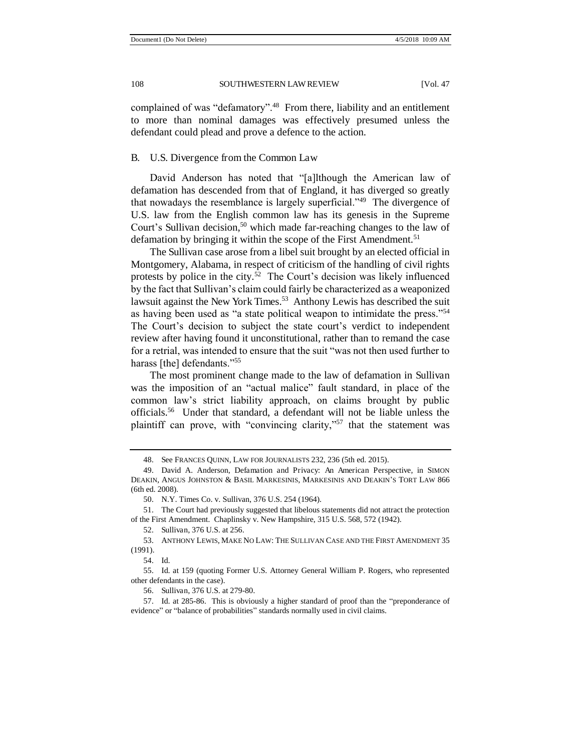complained of was "defamatory".<sup>48</sup> From there, liability and an entitlement to more than nominal damages was effectively presumed unless the defendant could plead and prove a defence to the action.

#### B. U.S. Divergence from the Common Law

David Anderson has noted that "[a]lthough the American law of defamation has descended from that of England, it has diverged so greatly that nowadays the resemblance is largely superficial."<sup>49</sup> The divergence of U.S. law from the English common law has its genesis in the Supreme Court's Sullivan decision,<sup>50</sup> which made far-reaching changes to the law of defamation by bringing it within the scope of the First Amendment.<sup>51</sup>

The Sullivan case arose from a libel suit brought by an elected official in Montgomery, Alabama, in respect of criticism of the handling of civil rights protests by police in the city.<sup>52</sup> The Court's decision was likely influenced by the fact that Sullivan's claim could fairly be characterized as a weaponized lawsuit against the New York Times.<sup>53</sup> Anthony Lewis has described the suit as having been used as "a state political weapon to intimidate the press."<sup>54</sup> The Court's decision to subject the state court's verdict to independent review after having found it unconstitutional, rather than to remand the case for a retrial, was intended to ensure that the suit "was not then used further to harass [the] defendants."<sup>55</sup>

The most prominent change made to the law of defamation in Sullivan was the imposition of an "actual malice" fault standard, in place of the common law's strict liability approach, on claims brought by public officials.<sup>56</sup> Under that standard, a defendant will not be liable unless the plaintiff can prove, with "convincing clarity,"<sup>57</sup> that the statement was

52. Sullivan, 376 U.S. at 256.

<sup>48.</sup> See FRANCES QUINN, LAW FOR JOURNALISTS 232, 236 (5th ed. 2015).

<sup>49.</sup> David A. Anderson, Defamation and Privacy: An American Perspective, in SIMON DEAKIN, ANGUS JOHNSTON & BASIL MARKESINIS, MARKESINIS AND DEAKIN'S TORT LAW 866 (6th ed. 2008).

<sup>50.</sup> N.Y. Times Co. v. Sullivan, 376 U.S. 254 (1964).

<sup>51.</sup> The Court had previously suggested that libelous statements did not attract the protection of the First Amendment. Chaplinsky v. New Hampshire, 315 U.S. 568, 572 (1942).

<sup>53.</sup> ANTHONY LEWIS, MAKE NO LAW: THE SULLIVAN CASE AND THE FIRST AMENDMENT 35 (1991).

<sup>54.</sup> Id.

<sup>55.</sup> Id. at 159 (quoting Former U.S. Attorney General William P. Rogers, who represented other defendants in the case).

<sup>56.</sup> Sullivan, 376 U.S. at 279-80.

<sup>57.</sup> Id. at 285-86. This is obviously a higher standard of proof than the "preponderance of evidence" or "balance of probabilities" standards normally used in civil claims.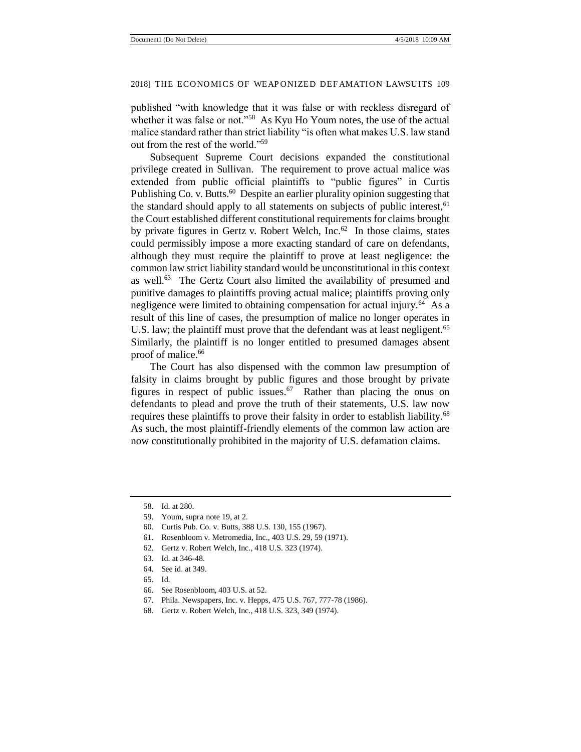published "with knowledge that it was false or with reckless disregard of whether it was false or not."<sup>58</sup> As Kyu Ho Youm notes, the use of the actual malice standard rather than strict liability "is often what makes U.S. law stand out from the rest of the world."<sup>59</sup>

Subsequent Supreme Court decisions expanded the constitutional privilege created in Sullivan. The requirement to prove actual malice was extended from public official plaintiffs to "public figures" in Curtis Publishing Co. v. Butts.<sup>60</sup> Despite an earlier plurality opinion suggesting that the standard should apply to all statements on subjects of public interest,  $61$ the Court established different constitutional requirements for claims brought by private figures in Gertz v. Robert Welch, Inc.<sup>62</sup> In those claims, states could permissibly impose a more exacting standard of care on defendants, although they must require the plaintiff to prove at least negligence: the common law strict liability standard would be unconstitutional in this context as well.<sup>63</sup> The Gertz Court also limited the availability of presumed and punitive damages to plaintiffs proving actual malice; plaintiffs proving only negligence were limited to obtaining compensation for actual injury.<sup>64</sup> As a result of this line of cases, the presumption of malice no longer operates in U.S. law; the plaintiff must prove that the defendant was at least negligent.<sup>65</sup> Similarly, the plaintiff is no longer entitled to presumed damages absent proof of malice.<sup>66</sup>

The Court has also dispensed with the common law presumption of falsity in claims brought by public figures and those brought by private figures in respect of public issues. $67$  Rather than placing the onus on defendants to plead and prove the truth of their statements, U.S. law now requires these plaintiffs to prove their falsity in order to establish liability.<sup>68</sup> As such, the most plaintiff-friendly elements of the common law action are now constitutionally prohibited in the majority of U.S. defamation claims.

- 62. Gertz v. Robert Welch, Inc., 418 U.S. 323 (1974).
- 63. Id. at 346-48.
- 64. See id. at 349.
- 65. Id.
- 66. See Rosenbloom, 403 U.S. at 52.
- 67. Phila. Newspapers, Inc. v. Hepps, 475 U.S. 767, 777-78 (1986).
- 68. Gertz v. Robert Welch, Inc., 418 U.S. 323, 349 (1974).

<sup>58.</sup> Id. at 280.

<sup>59.</sup> Youm, supra note 19, at 2.

<sup>60.</sup> Curtis Pub. Co. v. Butts, 388 U.S. 130, 155 (1967).

<sup>61.</sup> Rosenbloom v. Metromedia, Inc., 403 U.S. 29, 59 (1971).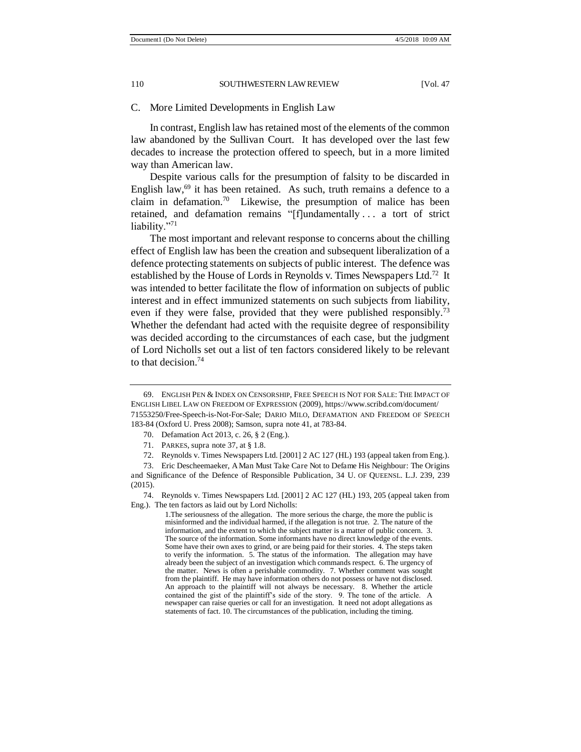C. More Limited Developments in English Law

In contrast, English law has retained most of the elements of the common law abandoned by the Sullivan Court. It has developed over the last few decades to increase the protection offered to speech, but in a more limited way than American law.

Despite various calls for the presumption of falsity to be discarded in English law, $69$  it has been retained. As such, truth remains a defence to a claim in defamation.<sup>70</sup> Likewise, the presumption of malice has been retained, and defamation remains "[f]undamentally . . . a tort of strict liability."71

The most important and relevant response to concerns about the chilling effect of English law has been the creation and subsequent liberalization of a defence protecting statements on subjects of public interest. The defence was established by the House of Lords in Reynolds v. Times Newspapers Ltd.<sup>72</sup> It was intended to better facilitate the flow of information on subjects of public interest and in effect immunized statements on such subjects from liability, even if they were false, provided that they were published responsibly.<sup>73</sup> Whether the defendant had acted with the requisite degree of responsibility was decided according to the circumstances of each case, but the judgment of Lord Nicholls set out a list of ten factors considered likely to be relevant to that decision.<sup>74</sup>

<sup>69.</sup> ENGLISH PEN & INDEX ON CENSORSHIP, FREE SPEECH IS NOT FOR SALE: THE IMPACT OF ENGLISH LIBEL LAW ON FREEDOM OF EXPRESSION (2009), https://www.scribd.com/document/ 71553250/Free-Speech-is-Not-For-Sale; DARIO MILO, DEFAMATION AND FREEDOM OF SPEECH 183-84 (Oxford U. Press 2008); Samson, supra note 41, at 783-84.

<sup>70.</sup> Defamation Act 2013, c. 26, § 2 (Eng.).

<sup>71.</sup> PARKES, supra note 37, at § 1.8.

<sup>72.</sup> Reynolds v. Times Newspapers Ltd. [2001] 2 AC 127 (HL) 193 (appeal taken from Eng.).

<sup>73.</sup> Eric Descheemaeker, A Man Must Take Care Not to Defame His Neighbour: The Origins and Significance of the Defence of Responsible Publication, 34 U. OF QUEENSL. L.J. 239, 239 (2015).

<sup>74.</sup> Reynolds v. Times Newspapers Ltd. [2001] 2 AC 127 (HL) 193, 205 (appeal taken from Eng.). The ten factors as laid out by Lord Nicholls:

<sup>1.</sup>The seriousness of the allegation. The more serious the charge, the more the public is misinformed and the individual harmed, if the allegation is not true. 2. The nature of the information, and the extent to which the subject matter is a matter of public concern. 3. The source of the information. Some informants have no direct knowledge of the events. Some have their own axes to grind, or are being paid for their stories. 4. The steps taken to verify the information. 5. The status of the information. The allegation may have already been the subject of an investigation which commands respect. 6. The urgency of the matter. News is often a perishable commodity. 7. Whether comment was sought from the plaintiff. He may have information others do not possess or have not disclosed. An approach to the plaintiff will not always be necessary. 8. Whether the article contained the gist of the plaintiff's side of the story. 9. The tone of the article. A newspaper can raise queries or call for an investigation. It need not adopt allegations as statements of fact. 10. The circumstances of the publication, including the timing.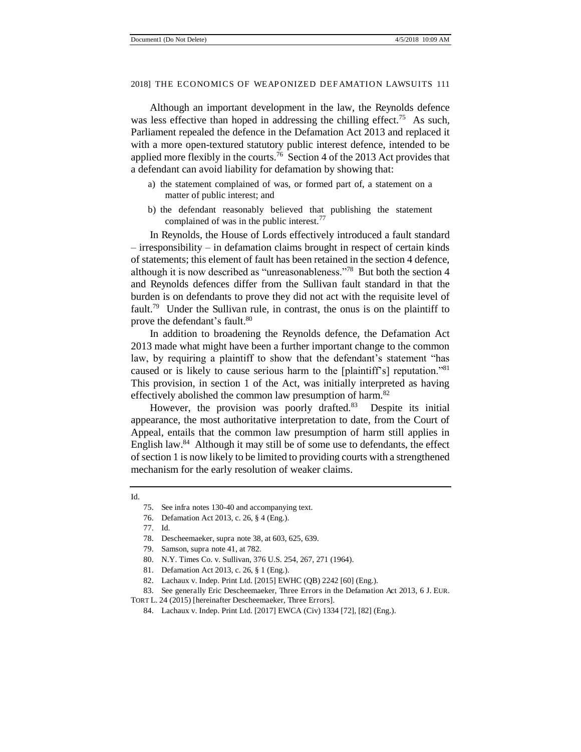Although an important development in the law, the Reynolds defence was less effective than hoped in addressing the chilling effect.<sup>75</sup> As such, Parliament repealed the defence in the Defamation Act 2013 and replaced it with a more open-textured statutory public interest defence, intended to be applied more flexibly in the courts.<sup>76</sup> Section 4 of the 2013 Act provides that a defendant can avoid liability for defamation by showing that:

- a) the statement complained of was, or formed part of, a statement on a matter of public interest; and
- b) the defendant reasonably believed that publishing the statement complained of was in the public interest. $\frac{77}{2}$

In Reynolds, the House of Lords effectively introduced a fault standard – irresponsibility – in defamation claims brought in respect of certain kinds of statements; this element of fault has been retained in the section 4 defence, although it is now described as "unreasonableness."<sup>78</sup> But both the section 4 and Reynolds defences differ from the Sullivan fault standard in that the burden is on defendants to prove they did not act with the requisite level of fault.<sup>79</sup> Under the Sullivan rule, in contrast, the onus is on the plaintiff to prove the defendant's fault.<sup>80</sup>

In addition to broadening the Reynolds defence, the Defamation Act 2013 made what might have been a further important change to the common law, by requiring a plaintiff to show that the defendant's statement "has caused or is likely to cause serious harm to the [plaintiff's] reputation."<sup>81</sup> This provision, in section 1 of the Act, was initially interpreted as having effectively abolished the common law presumption of harm.<sup>82</sup>

However, the provision was poorly drafted.<sup>83</sup> Despite its initial appearance, the most authoritative interpretation to date, from the Court of Appeal, entails that the common law presumption of harm still applies in English law.<sup>84</sup> Although it may still be of some use to defendants, the effect of section 1 is now likely to be limited to providing courts with a strengthened mechanism for the early resolution of weaker claims.

76. Defamation Act 2013, c. 26, § 4 (Eng.).

- 81. Defamation Act 2013, c. 26, § 1 (Eng.).
- 82. Lachaux v. Indep. Print Ltd. [2015] EWHC (QB) 2242 [60] (Eng.).

83. See generally Eric Descheemaeker, Three Errors in the Defamation Act 2013, 6 J. EUR.

Id.

<sup>75.</sup> See infra notes 130-40 and accompanying text.

<sup>77.</sup> Id.

<sup>78.</sup> Descheemaeker, supra note 38, at 603, 625, 639.

<sup>79.</sup> Samson, supra note 41, at 782.

<sup>80.</sup> N.Y. Times Co. v. Sullivan, 376 U.S. 254, 267, 271 (1964).

TORT L. 24 (2015) [hereinafter Descheemaeker, Three Errors].

<sup>84.</sup> Lachaux v. Indep. Print Ltd. [2017] EWCA (Civ) 1334 [72], [82] (Eng.).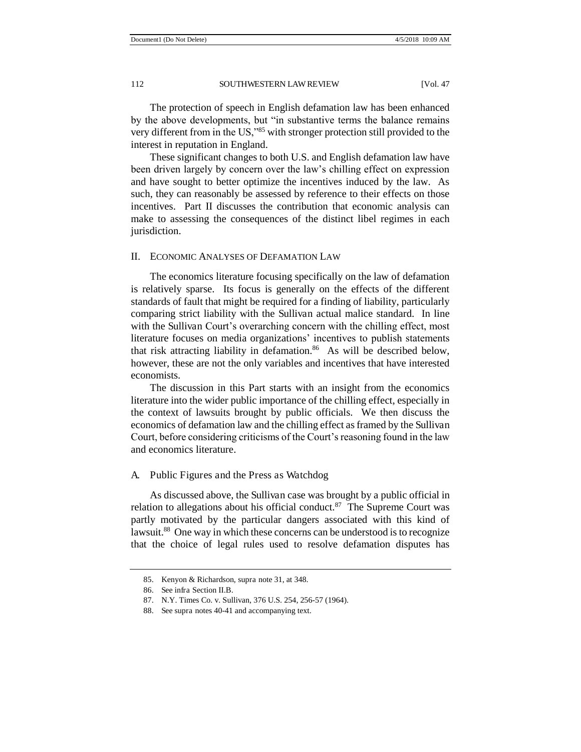The protection of speech in English defamation law has been enhanced by the above developments, but "in substantive terms the balance remains very different from in the US,"<sup>85</sup> with stronger protection still provided to the interest in reputation in England.

These significant changes to both U.S. and English defamation law have been driven largely by concern over the law's chilling effect on expression and have sought to better optimize the incentives induced by the law. As such, they can reasonably be assessed by reference to their effects on those incentives. Part II discusses the contribution that economic analysis can make to assessing the consequences of the distinct libel regimes in each jurisdiction.

#### II. ECONOMIC ANALYSES OF DEFAMATION LAW

The economics literature focusing specifically on the law of defamation is relatively sparse. Its focus is generally on the effects of the different standards of fault that might be required for a finding of liability, particularly comparing strict liability with the Sullivan actual malice standard. In line with the Sullivan Court's overarching concern with the chilling effect, most literature focuses on media organizations' incentives to publish statements that risk attracting liability in defamation.<sup>86</sup> As will be described below, however, these are not the only variables and incentives that have interested economists.

The discussion in this Part starts with an insight from the economics literature into the wider public importance of the chilling effect, especially in the context of lawsuits brought by public officials. We then discuss the economics of defamation law and the chilling effect as framed by the Sullivan Court, before considering criticisms of the Court's reasoning found in the law and economics literature.

#### A. Public Figures and the Press as Watchdog

As discussed above, the Sullivan case was brought by a public official in relation to allegations about his official conduct. $87$  The Supreme Court was partly motivated by the particular dangers associated with this kind of lawsuit.<sup>88</sup> One way in which these concerns can be understood is to recognize that the choice of legal rules used to resolve defamation disputes has

<sup>85.</sup> Kenyon & Richardson, supra note 31, at 348.

<sup>86.</sup> See infra Section II.B.

<sup>87.</sup> N.Y. Times Co. v. Sullivan, 376 U.S. 254, 256-57 (1964).

<sup>88.</sup> See supra notes 40-41 and accompanying text.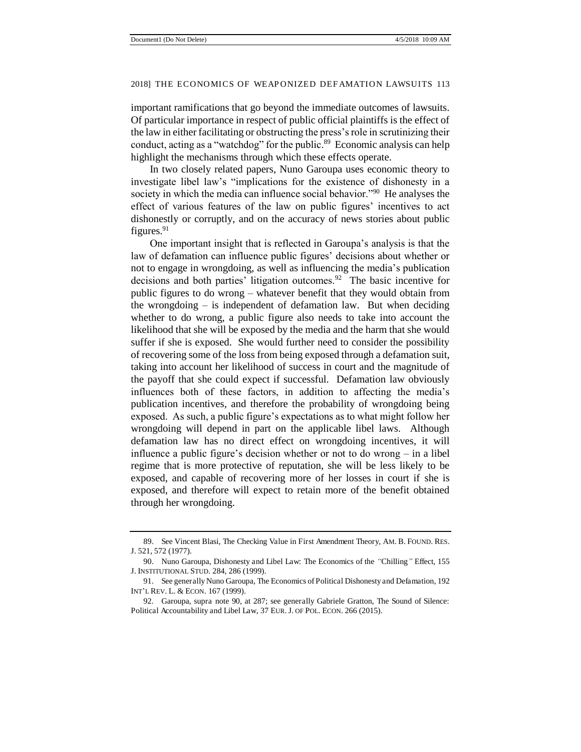important ramifications that go beyond the immediate outcomes of lawsuits. Of particular importance in respect of public official plaintiffs is the effect of the law in either facilitating or obstructing the press's role in scrutinizing their conduct, acting as a "watchdog" for the public.<sup>89</sup> Economic analysis can help highlight the mechanisms through which these effects operate.

In two closely related papers, Nuno Garoupa uses economic theory to investigate libel law's "implications for the existence of dishonesty in a society in which the media can influence social behavior."<sup>90</sup> He analyses the effect of various features of the law on public figures' incentives to act dishonestly or corruptly, and on the accuracy of news stories about public figures. $91$ 

One important insight that is reflected in Garoupa's analysis is that the law of defamation can influence public figures' decisions about whether or not to engage in wrongdoing, as well as influencing the media's publication decisions and both parties' litigation outcomes. $92$  The basic incentive for public figures to do wrong – whatever benefit that they would obtain from the wrongdoing  $-$  is independent of defamation law. But when deciding whether to do wrong, a public figure also needs to take into account the likelihood that she will be exposed by the media and the harm that she would suffer if she is exposed. She would further need to consider the possibility of recovering some of the loss from being exposed through a defamation suit, taking into account her likelihood of success in court and the magnitude of the payoff that she could expect if successful. Defamation law obviously influences both of these factors, in addition to affecting the media's publication incentives, and therefore the probability of wrongdoing being exposed. As such, a public figure's expectations as to what might follow her wrongdoing will depend in part on the applicable libel laws. Although defamation law has no direct effect on wrongdoing incentives, it will influence a public figure's decision whether or not to do wrong – in a libel regime that is more protective of reputation, she will be less likely to be exposed, and capable of recovering more of her losses in court if she is exposed, and therefore will expect to retain more of the benefit obtained through her wrongdoing.

<sup>89.</sup> See Vincent Blasi, The Checking Value in First Amendment Theory, AM. B. FOUND. RES. J. 521, 572 (1977).

<sup>90.</sup> Nuno Garoupa, Dishonesty and Libel Law: The Economics of the *"*Chilling*"* Effect, 155 J. INSTITUTIONAL STUD. 284, 286 (1999).

<sup>91.</sup> See generally Nuno Garoupa, The Economics of Political Dishonesty and Defamation, 192 INT'L REV. L. & ECON. 167 (1999).

<sup>92.</sup> Garoupa, supra note 90, at 287; see generally Gabriele Gratton, The Sound of Silence: Political Accountability and Libel Law, 37 EUR. J. OF POL. ECON. 266 (2015).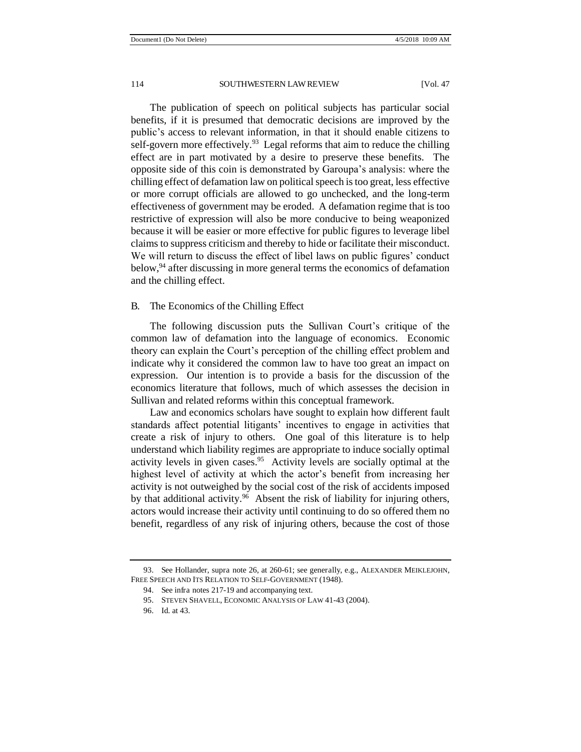The publication of speech on political subjects has particular social benefits, if it is presumed that democratic decisions are improved by the public's access to relevant information, in that it should enable citizens to self-govern more effectively.<sup>93</sup> Legal reforms that aim to reduce the chilling effect are in part motivated by a desire to preserve these benefits. The opposite side of this coin is demonstrated by Garoupa's analysis: where the chilling effect of defamation law on political speech is too great, less effective or more corrupt officials are allowed to go unchecked, and the long-term effectiveness of government may be eroded. A defamation regime that is too restrictive of expression will also be more conducive to being weaponized because it will be easier or more effective for public figures to leverage libel claims to suppress criticism and thereby to hide or facilitate their misconduct. We will return to discuss the effect of libel laws on public figures' conduct below,<sup>94</sup> after discussing in more general terms the economics of defamation and the chilling effect.

#### B. The Economics of the Chilling Effect

The following discussion puts the Sullivan Court's critique of the common law of defamation into the language of economics. Economic theory can explain the Court's perception of the chilling effect problem and indicate why it considered the common law to have too great an impact on expression. Our intention is to provide a basis for the discussion of the economics literature that follows, much of which assesses the decision in Sullivan and related reforms within this conceptual framework.

Law and economics scholars have sought to explain how different fault standards affect potential litigants' incentives to engage in activities that create a risk of injury to others. One goal of this literature is to help understand which liability regimes are appropriate to induce socially optimal activity levels in given cases.<sup>95</sup> Activity levels are socially optimal at the highest level of activity at which the actor's benefit from increasing her activity is not outweighed by the social cost of the risk of accidents imposed by that additional activity.<sup>96</sup> Absent the risk of liability for injuring others, actors would increase their activity until continuing to do so offered them no benefit, regardless of any risk of injuring others, because the cost of those

<sup>93.</sup> See Hollander, supra note 26, at 260-61; see generally, e.g., ALEXANDER MEIKLEJOHN, FREE SPEECH AND ITS RELATION TO SELF-GOVERNMENT (1948).

<sup>94.</sup> See infra notes 217-19 and accompanying text.

<sup>95.</sup> STEVEN SHAVELL, ECONOMIC ANALYSIS OF LAW 41-43 (2004).

<sup>96.</sup> Id. at 43.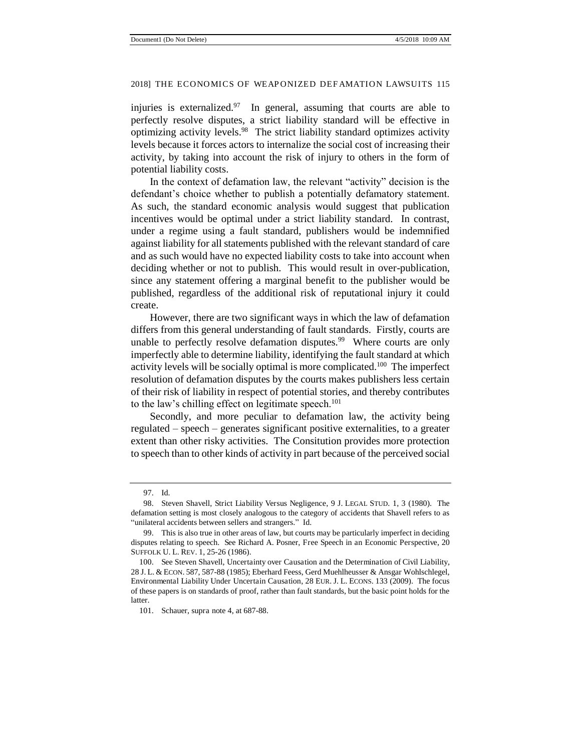injuries is externalized. $97$  In general, assuming that courts are able to perfectly resolve disputes, a strict liability standard will be effective in optimizing activity levels.<sup>98</sup> The strict liability standard optimizes activity levels because it forces actors to internalize the social cost of increasing their activity, by taking into account the risk of injury to others in the form of potential liability costs.

In the context of defamation law, the relevant "activity" decision is the defendant's choice whether to publish a potentially defamatory statement. As such, the standard economic analysis would suggest that publication incentives would be optimal under a strict liability standard. In contrast, under a regime using a fault standard, publishers would be indemnified against liability for all statements published with the relevant standard of care and as such would have no expected liability costs to take into account when deciding whether or not to publish. This would result in over-publication, since any statement offering a marginal benefit to the publisher would be published, regardless of the additional risk of reputational injury it could create.

However, there are two significant ways in which the law of defamation differs from this general understanding of fault standards. Firstly, courts are unable to perfectly resolve defamation disputes.<sup>99</sup> Where courts are only imperfectly able to determine liability, identifying the fault standard at which activity levels will be socially optimal is more complicated.<sup>100</sup> The imperfect resolution of defamation disputes by the courts makes publishers less certain of their risk of liability in respect of potential stories, and thereby contributes to the law's chilling effect on legitimate speech.<sup>101</sup>

Secondly, and more peculiar to defamation law, the activity being regulated – speech – generates significant positive externalities, to a greater extent than other risky activities. The Consitution provides more protection to speech than to other kinds of activity in part because of the perceived social

<sup>97.</sup> Id.

<sup>98.</sup> Steven Shavell, Strict Liability Versus Negligence, 9 J. LEGAL STUD. 1, 3 (1980). The defamation setting is most closely analogous to the category of accidents that Shavell refers to as "unilateral accidents between sellers and strangers." Id.

<sup>99.</sup> This is also true in other areas of law, but courts may be particularly imperfect in deciding disputes relating to speech. See Richard A. Posner, Free Speech in an Economic Perspective, 20 SUFFOLK U. L. REV. 1, 25-26 (1986).

<sup>100.</sup> See Steven Shavell, Uncertainty over Causation and the Determination of Civil Liability, 28 J. L. & ECON. 587, 587-88 (1985); Eberhard Feess, Gerd Muehlheusser & Ansgar Wohlschlegel, Environmental Liability Under Uncertain Causation, 28 EUR. J. L. ECONS. 133 (2009). The focus of these papers is on standards of proof, rather than fault standards, but the basic point holds for the latter.

<sup>101.</sup> Schauer, supra note 4, at 687-88.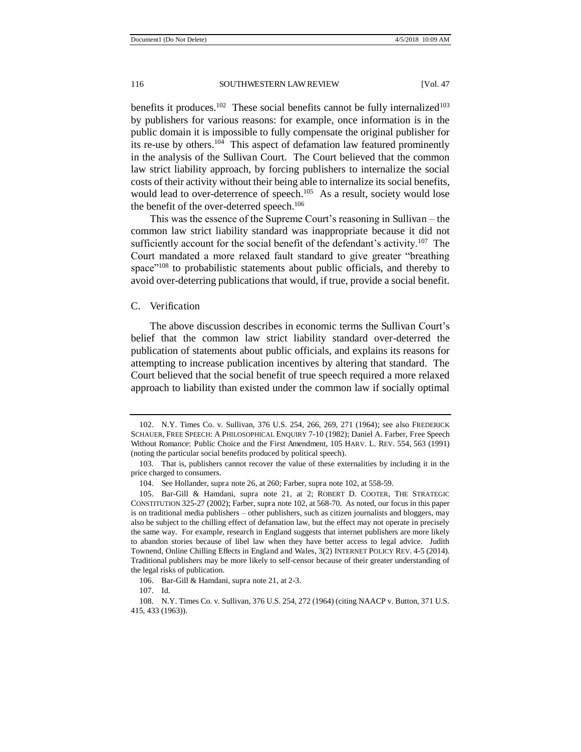benefits it produces.<sup>102</sup> These social benefits cannot be fully internalized<sup>103</sup> by publishers for various reasons: for example, once information is in the public domain it is impossible to fully compensate the original publisher for its re-use by others.<sup>104</sup> This aspect of defamation law featured prominently in the analysis of the Sullivan Court. The Court believed that the common law strict liability approach, by forcing publishers to internalize the social costs of their activity without their being able to internalize its social benefits, would lead to over-deterrence of speech.<sup>105</sup> As a result, society would lose the benefit of the over-deterred speech.<sup>106</sup>

This was the essence of the Supreme Court's reasoning in Sullivan – the common law strict liability standard was inappropriate because it did not sufficiently account for the social benefit of the defendant's activity.<sup>107</sup> The Court mandated a more relaxed fault standard to give greater "breathing space<sup>"108</sup> to probabilistic statements about public officials, and thereby to avoid over-deterring publications that would, if true, provide a social benefit.

#### C. Verification

The above discussion describes in economic terms the Sullivan Court's belief that the common law strict liability standard over-deterred the publication of statements about public officials, and explains its reasons for attempting to increase publication incentives by altering that standard. The Court believed that the social benefit of true speech required a more relaxed approach to liability than existed under the common law if socially optimal

<sup>102.</sup> N.Y. Times Co. v. Sullivan, 376 U.S. 254, 266, 269, 271 (1964); see also FREDERICK SCHAUER, FREE SPEECH: A PHILOSOPHICAL ENQUIRY 7-10 (1982); Daniel A. Farber, Free Speech Without Romance: Public Choice and the First Amendment, 105 HARV. L. REV. 554, 563 (1991) (noting the particular social benefits produced by political speech).

<sup>103.</sup> That is, publishers cannot recover the value of these externalities by including it in the price charged to consumers.

<sup>104.</sup> See Hollander, supra note 26, at 260; Farber, supra note 102, at 558-59.

<sup>105.</sup> Bar-Gill & Hamdani, supra note 21, at 2; ROBERT D. COOTER, THE STRATEGIC CONSTITUTION 325-27 (2002); Farber, supra note 102, at 568-70. As noted, our focus in this paper is on traditional media publishers – other publishers, such as citizen journalists and bloggers, may also be subject to the chilling effect of defamation law, but the effect may not operate in precisely the same way. For example, research in England suggests that internet publishers are more likely to abandon stories because of libel law when they have better access to legal advice. Judith Townend, Online Chilling Effects in England and Wales, 3(2) INTERNET POLICY REV. 4-5 (2014). Traditional publishers may be more likely to self-censor because of their greater understanding of the legal risks of publication.

<sup>106.</sup> Bar-Gill & Hamdani, supra note 21, at 2-3.

<sup>107.</sup> Id.

<sup>108.</sup> N.Y. Times Co. v. Sullivan, 376 U.S. 254, 272 (1964) (citing NAACP v. Button, 371 U.S. 415, 433 (1963)).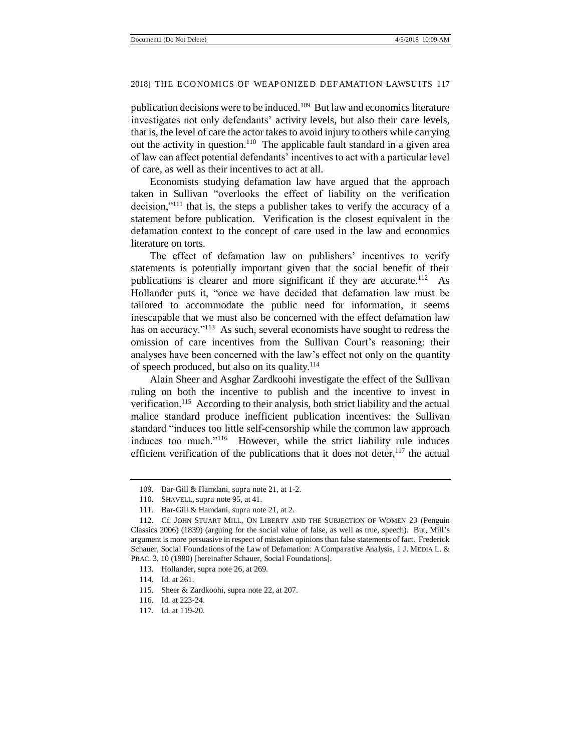publication decisions were to be induced.<sup>109</sup> But law and economics literature investigates not only defendants' activity levels, but also their care levels, that is, the level of care the actor takes to avoid injury to others while carrying out the activity in question.<sup>110</sup> The applicable fault standard in a given area of law can affect potential defendants' incentives to act with a particular level of care, as well as their incentives to act at all.

Economists studying defamation law have argued that the approach taken in Sullivan "overlooks the effect of liability on the verification decision,"<sup>111</sup> that is, the steps a publisher takes to verify the accuracy of a statement before publication. Verification is the closest equivalent in the defamation context to the concept of care used in the law and economics literature on torts.

The effect of defamation law on publishers' incentives to verify statements is potentially important given that the social benefit of their publications is clearer and more significant if they are accurate.<sup>112</sup> As Hollander puts it, "once we have decided that defamation law must be tailored to accommodate the public need for information, it seems inescapable that we must also be concerned with the effect defamation law has on accuracy."<sup>113</sup> As such, several economists have sought to redress the omission of care incentives from the Sullivan Court's reasoning: their analyses have been concerned with the law's effect not only on the quantity of speech produced, but also on its quality.<sup>114</sup>

Alain Sheer and Asghar Zardkoohi investigate the effect of the Sullivan ruling on both the incentive to publish and the incentive to invest in verification.<sup>115</sup> According to their analysis, both strict liability and the actual malice standard produce inefficient publication incentives: the Sullivan standard "induces too little self-censorship while the common law approach induces too much."<sup>116</sup> However, while the strict liability rule induces efficient verification of the publications that it does not deter,  $117$  the actual

<sup>109.</sup> Bar-Gill & Hamdani, supra note 21, at 1-2.

<sup>110.</sup> SHAVELL, supra note 95, at 41.

<sup>111.</sup> Bar-Gill & Hamdani, supra note 21, at 2.

<sup>112.</sup> Cf. JOHN STUART MILL, ON LIBERTY AND THE SUBJECTION OF WOMEN 23 (Penguin Classics 2006) (1839) (arguing for the social value of false, as well as true, speech). But, Mill's argument is more persuasive in respect of mistaken opinions than false statements of fact. Frederick Schauer, Social Foundations of the Law of Defamation: A Comparative Analysis, 1 J. MEDIA L. & PRAC. 3, 10 (1980) [hereinafter Schauer, Social Foundations].

<sup>113.</sup> Hollander, supra note 26, at 269.

<sup>114.</sup> Id. at 261.

<sup>115.</sup> Sheer & Zardkoohi, supra note 22, at 207.

<sup>116.</sup> Id. at 223-24.

<sup>117.</sup> Id. at 119-20.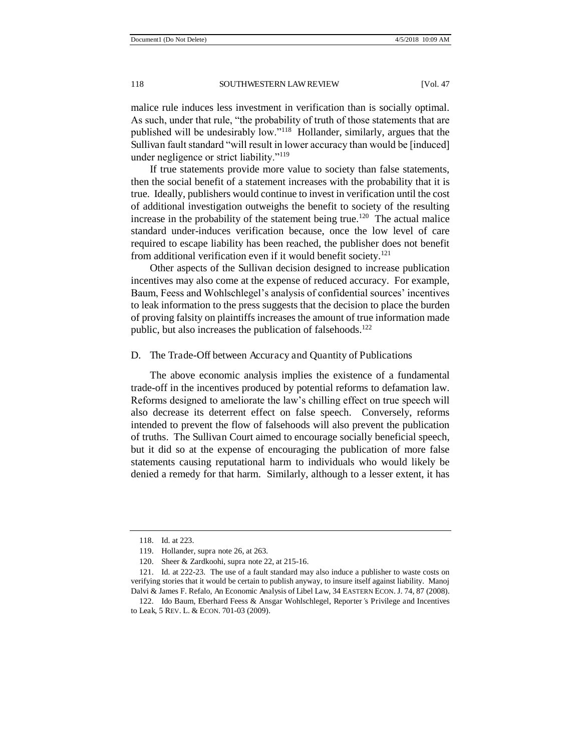malice rule induces less investment in verification than is socially optimal. As such, under that rule, "the probability of truth of those statements that are published will be undesirably low."<sup>118</sup> Hollander, similarly, argues that the Sullivan fault standard "will result in lower accuracy than would be [induced] under negligence or strict liability."<sup>119</sup>

If true statements provide more value to society than false statements, then the social benefit of a statement increases with the probability that it is true. Ideally, publishers would continue to invest in verification until the cost of additional investigation outweighs the benefit to society of the resulting increase in the probability of the statement being true.<sup>120</sup> The actual malice standard under-induces verification because, once the low level of care required to escape liability has been reached, the publisher does not benefit from additional verification even if it would benefit society.<sup>121</sup>

Other aspects of the Sullivan decision designed to increase publication incentives may also come at the expense of reduced accuracy. For example, Baum, Feess and Wohlschlegel's analysis of confidential sources' incentives to leak information to the press suggests that the decision to place the burden of proving falsity on plaintiffs increases the amount of true information made public, but also increases the publication of falsehoods.<sup>122</sup>

#### D. The Trade-Off between Accuracy and Quantity of Publications

The above economic analysis implies the existence of a fundamental trade-off in the incentives produced by potential reforms to defamation law. Reforms designed to ameliorate the law's chilling effect on true speech will also decrease its deterrent effect on false speech. Conversely, reforms intended to prevent the flow of falsehoods will also prevent the publication of truths. The Sullivan Court aimed to encourage socially beneficial speech, but it did so at the expense of encouraging the publication of more false statements causing reputational harm to individuals who would likely be denied a remedy for that harm. Similarly, although to a lesser extent, it has

<sup>118.</sup> Id. at 223.

<sup>119.</sup> Hollander, supra note 26, at 263.

<sup>120.</sup> Sheer & Zardkoohi, supra note 22, at 215-16.

<sup>121.</sup> Id. at 222-23. The use of a fault standard may also induce a publisher to waste costs on verifying stories that it would be certain to publish anyway, to insure itself against liability. Manoj Dalvi & James F. Refalo, An Economic Analysis of Libel Law, 34 EASTERN ECON. J. 74, 87 (2008).

<sup>122.</sup> Ido Baum, Eberhard Feess & Ansgar Wohlschlegel, Reporter*'*s Privilege and Incentives to Leak, 5 REV. L. & ECON. 701-03 (2009).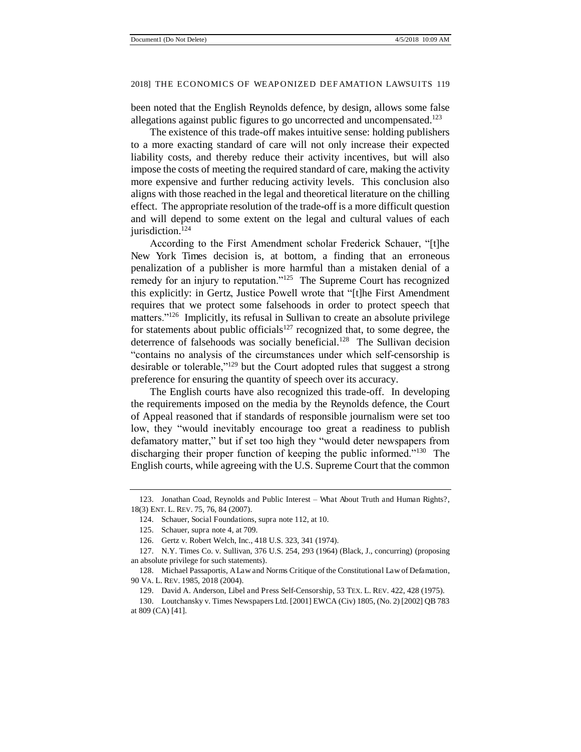been noted that the English Reynolds defence, by design, allows some false allegations against public figures to go uncorrected and uncompensated.<sup>123</sup>

The existence of this trade-off makes intuitive sense: holding publishers to a more exacting standard of care will not only increase their expected liability costs, and thereby reduce their activity incentives, but will also impose the costs of meeting the required standard of care, making the activity more expensive and further reducing activity levels. This conclusion also aligns with those reached in the legal and theoretical literature on the chilling effect. The appropriate resolution of the trade-off is a more difficult question and will depend to some extent on the legal and cultural values of each jurisdiction.<sup>124</sup>

According to the First Amendment scholar Frederick Schauer, "[t]he New York Times decision is, at bottom, a finding that an erroneous penalization of a publisher is more harmful than a mistaken denial of a remedy for an injury to reputation."<sup>125</sup> The Supreme Court has recognized this explicitly: in Gertz, Justice Powell wrote that "[t]he First Amendment requires that we protect some falsehoods in order to protect speech that matters."<sup>126</sup> Implicitly, its refusal in Sullivan to create an absolute privilege for statements about public officials<sup>127</sup> recognized that, to some degree, the deterrence of falsehoods was socially beneficial.<sup>128</sup> The Sullivan decision "contains no analysis of the circumstances under which self-censorship is desirable or tolerable,"<sup>129</sup> but the Court adopted rules that suggest a strong preference for ensuring the quantity of speech over its accuracy.

The English courts have also recognized this trade-off. In developing the requirements imposed on the media by the Reynolds defence, the Court of Appeal reasoned that if standards of responsible journalism were set too low, they "would inevitably encourage too great a readiness to publish defamatory matter," but if set too high they "would deter newspapers from discharging their proper function of keeping the public informed."<sup>130</sup> The English courts, while agreeing with the U.S. Supreme Court that the common

<sup>123.</sup> Jonathan Coad, Reynolds and Public Interest *–* What About Truth and Human Rights?, 18(3) ENT. L. REV. 75, 76, 84 (2007).

<sup>124.</sup> Schauer, Social Foundations, supra note 112, at 10.

<sup>125.</sup> Schauer, supra note 4, at 709.

<sup>126.</sup> Gertz v. Robert Welch, Inc., 418 U.S. 323, 341 (1974).

<sup>127.</sup> N.Y. Times Co. v. Sullivan, 376 U.S. 254, 293 (1964) (Black, J., concurring) (proposing an absolute privilege for such statements).

<sup>128.</sup> Michael Passaportis, A Law and Norms Critique of the Constitutional Law of Defamation, 90 VA. L. REV. 1985, 2018 (2004).

<sup>129.</sup> David A. Anderson, Libel and Press Self-Censorship, 53 TEX. L. REV. 422, 428 (1975).

<sup>130.</sup> Loutchansky v. Times Newspapers Ltd. [2001] EWCA (Civ) 1805, (No. 2) [2002] QB 783 at 809 (CA) [41].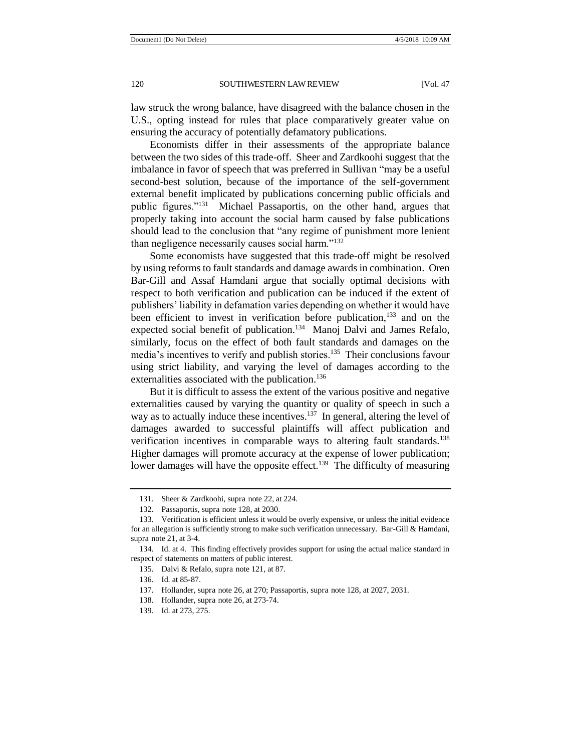law struck the wrong balance, have disagreed with the balance chosen in the U.S., opting instead for rules that place comparatively greater value on ensuring the accuracy of potentially defamatory publications.

Economists differ in their assessments of the appropriate balance between the two sides of this trade-off. Sheer and Zardkoohi suggest that the imbalance in favor of speech that was preferred in Sullivan "may be a useful second-best solution, because of the importance of the self-government external benefit implicated by publications concerning public officials and public figures."<sup>131</sup> Michael Passaportis, on the other hand, argues that properly taking into account the social harm caused by false publications should lead to the conclusion that "any regime of punishment more lenient than negligence necessarily causes social harm."<sup>132</sup>

Some economists have suggested that this trade-off might be resolved by using reforms to fault standards and damage awards in combination. Oren Bar-Gill and Assaf Hamdani argue that socially optimal decisions with respect to both verification and publication can be induced if the extent of publishers' liability in defamation varies depending on whether it would have been efficient to invest in verification before publication, $133$  and on the expected social benefit of publication.<sup>134</sup> Manoj Dalvi and James Refalo, similarly, focus on the effect of both fault standards and damages on the media's incentives to verify and publish stories.<sup>135</sup> Their conclusions favour using strict liability, and varying the level of damages according to the externalities associated with the publication.<sup>136</sup>

But it is difficult to assess the extent of the various positive and negative externalities caused by varying the quantity or quality of speech in such a way as to actually induce these incentives. $137$  In general, altering the level of damages awarded to successful plaintiffs will affect publication and verification incentives in comparable ways to altering fault standards.<sup>138</sup> Higher damages will promote accuracy at the expense of lower publication; lower damages will have the opposite effect.<sup>139</sup> The difficulty of measuring

<sup>131.</sup> Sheer & Zardkoohi, supra note 22, at 224.

<sup>132.</sup> Passaportis, supra note 128, at 2030.

<sup>133.</sup> Verification is efficient unless it would be overly expensive, or unless the initial evidence for an allegation is sufficiently strong to make such verification unnecessary. Bar-Gill & Hamdani, supra note 21, at 3-4.

<sup>134.</sup> Id. at 4. This finding effectively provides support for using the actual malice standard in respect of statements on matters of public interest.

<sup>135.</sup> Dalvi & Refalo, supra note 121, at 87.

<sup>136.</sup> Id. at 85-87.

<sup>137.</sup> Hollander, supra note 26, at 270; Passaportis, supra note 128, at 2027, 2031.

<sup>138.</sup> Hollander, supra note 26, at 273-74.

<sup>139.</sup> Id. at 273, 275.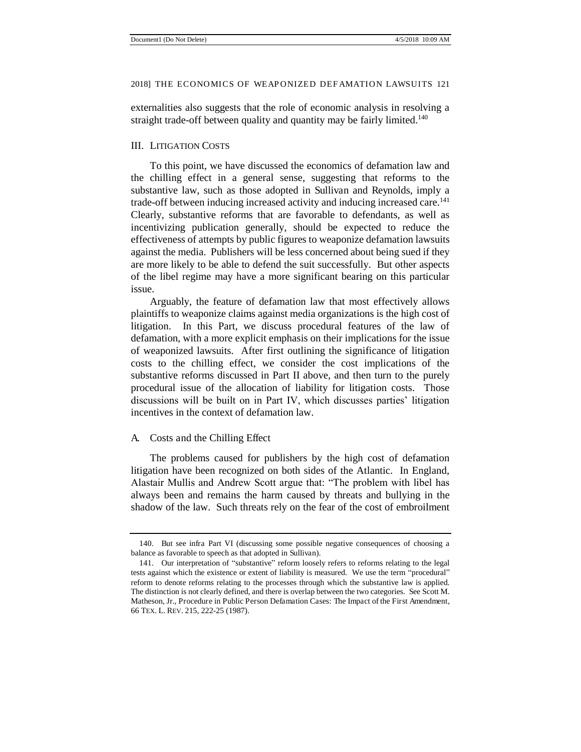externalities also suggests that the role of economic analysis in resolving a straight trade-off between quality and quantity may be fairly limited.<sup>140</sup>

#### III. LITIGATION COSTS

To this point, we have discussed the economics of defamation law and the chilling effect in a general sense, suggesting that reforms to the substantive law, such as those adopted in Sullivan and Reynolds, imply a trade-off between inducing increased activity and inducing increased care.<sup>141</sup> Clearly, substantive reforms that are favorable to defendants, as well as incentivizing publication generally, should be expected to reduce the effectiveness of attempts by public figures to weaponize defamation lawsuits against the media. Publishers will be less concerned about being sued if they are more likely to be able to defend the suit successfully. But other aspects of the libel regime may have a more significant bearing on this particular issue.

Arguably, the feature of defamation law that most effectively allows plaintiffs to weaponize claims against media organizations is the high cost of litigation. In this Part, we discuss procedural features of the law of defamation, with a more explicit emphasis on their implications for the issue of weaponized lawsuits. After first outlining the significance of litigation costs to the chilling effect, we consider the cost implications of the substantive reforms discussed in Part II above, and then turn to the purely procedural issue of the allocation of liability for litigation costs. Those discussions will be built on in Part IV, which discusses parties' litigation incentives in the context of defamation law.

#### A. Costs and the Chilling Effect

The problems caused for publishers by the high cost of defamation litigation have been recognized on both sides of the Atlantic. In England, Alastair Mullis and Andrew Scott argue that: "The problem with libel has always been and remains the harm caused by threats and bullying in the shadow of the law. Such threats rely on the fear of the cost of embroilment

<sup>140.</sup> But see infra Part VI (discussing some possible negative consequences of choosing a balance as favorable to speech as that adopted in Sullivan).

<sup>141.</sup> Our interpretation of "substantive" reform loosely refers to reforms relating to the legal tests against which the existence or extent of liability is measured. We use the term "procedural" reform to denote reforms relating to the processes through which the substantive law is applied. The distinction is not clearly defined, and there is overlap between the two categories. See Scott M. Matheson, Jr., Procedure in Public Person Defamation Cases: The Impact of the First Amendment, 66 TEX. L. REV. 215, 222-25 (1987).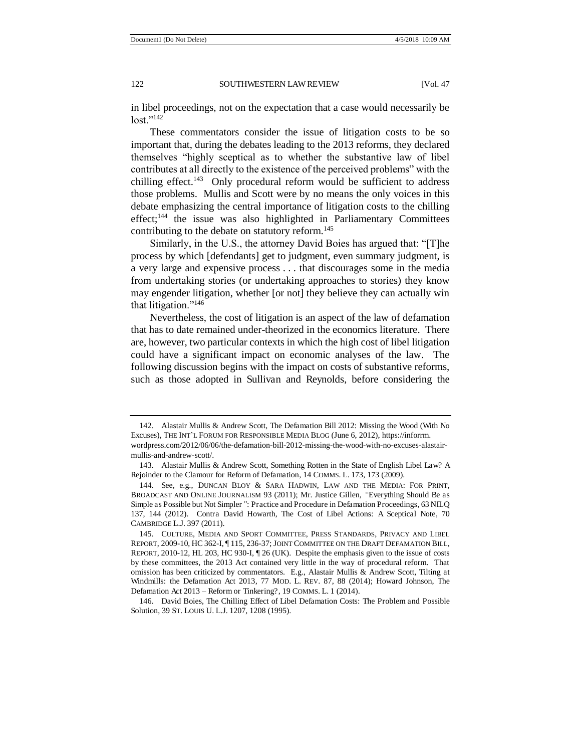in libel proceedings, not on the expectation that a case would necessarily be  $lost."142$ 

These commentators consider the issue of litigation costs to be so important that, during the debates leading to the 2013 reforms, they declared themselves "highly sceptical as to whether the substantive law of libel contributes at all directly to the existence of the perceived problems" with the chilling effect.<sup>143</sup> Only procedural reform would be sufficient to address those problems. Mullis and Scott were by no means the only voices in this debate emphasizing the central importance of litigation costs to the chilling effect;<sup>144</sup> the issue was also highlighted in Parliamentary Committees contributing to the debate on statutory reform.<sup>145</sup>

Similarly, in the U.S., the attorney David Boies has argued that: "[T]he process by which [defendants] get to judgment, even summary judgment, is a very large and expensive process . . . that discourages some in the media from undertaking stories (or undertaking approaches to stories) they know may engender litigation, whether [or not] they believe they can actually win that litigation."<sup>146</sup>

Nevertheless, the cost of litigation is an aspect of the law of defamation that has to date remained under-theorized in the economics literature. There are, however, two particular contexts in which the high cost of libel litigation could have a significant impact on economic analyses of the law. The following discussion begins with the impact on costs of substantive reforms, such as those adopted in Sullivan and Reynolds, before considering the

<sup>142.</sup> Alastair Mullis & Andrew Scott, The Defamation Bill 2012: Missing the Wood (With No Excuses), THE INT'L FORUM FOR RESPONSIBLE MEDIA BLOG (June 6, 2012), https://inforrm. wordpress.com/2012/06/06/the-defamation-bill-2012-missing-the-wood-with-no-excuses-alastairmullis-and-andrew-scott/.

<sup>143.</sup> Alastair Mullis & Andrew Scott, Something Rotten in the State of English Libel Law? A Rejoinder to the Clamour for Reform of Defamation, 14 COMMS. L. 173, 173 (2009).

<sup>144.</sup> See, e.g., DUNCAN BLOY & SARA HADWIN, LAW AND THE MEDIA: FOR PRINT, BROADCAST AND ONLINE JOURNALISM 93 (2011); Mr. Justice Gillen, *"*Everything Should Be as Simple as Possible but Not Simpler*"*: Practice and Procedure in Defamation Proceedings, 63 NILQ 137, 144 (2012). Contra David Howarth, The Cost of Libel Actions: A Sceptical Note, 70 CAMBRIDGE L.J. 397 (2011).

<sup>145.</sup> CULTURE, MEDIA AND SPORT COMMITTEE, PRESS STANDARDS, PRIVACY AND LIBEL REPORT, 2009-10, HC 362-I, ¶ 115, 236-37; JOINT COMMITTEE ON THE DRAFT DEFAMATION BILL, REPORT, 2010-12, HL 203, HC 930-I, ¶ 26 (UK). Despite the emphasis given to the issue of costs by these committees, the 2013 Act contained very little in the way of procedural reform. That omission has been criticized by commentators. E.g., Alastair Mullis & Andrew Scott, Tilting at Windmills: the Defamation Act 2013, 77 MOD. L. REV. 87, 88 (2014); Howard Johnson, The Defamation Act 2013 *–* Reform or Tinkering?, 19 COMMS. L. 1 (2014).

<sup>146.</sup> David Boies, The Chilling Effect of Libel Defamation Costs: The Problem and Possible Solution, 39 ST. LOUIS U. L.J. 1207, 1208 (1995).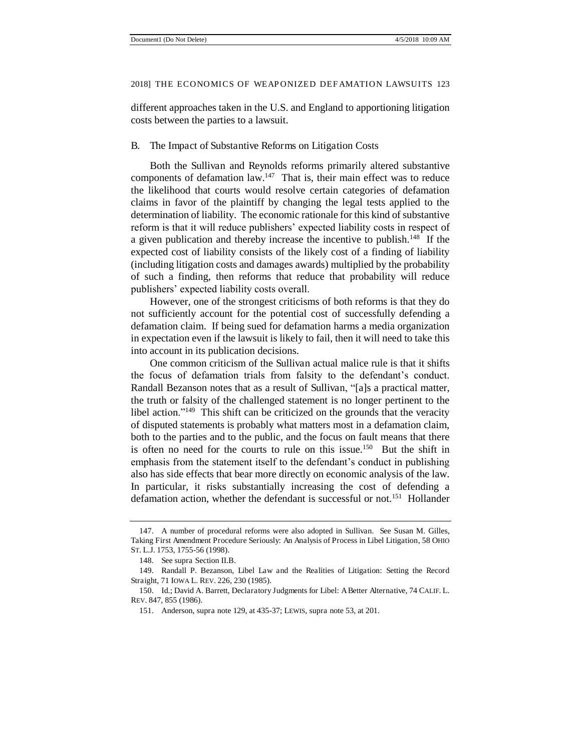different approaches taken in the U.S. and England to apportioning litigation costs between the parties to a lawsuit.

#### B. The Impact of Substantive Reforms on Litigation Costs

Both the Sullivan and Reynolds reforms primarily altered substantive components of defamation law.<sup>147</sup> That is, their main effect was to reduce the likelihood that courts would resolve certain categories of defamation claims in favor of the plaintiff by changing the legal tests applied to the determination of liability. The economic rationale for this kind of substantive reform is that it will reduce publishers' expected liability costs in respect of a given publication and thereby increase the incentive to publish.<sup>148</sup> If the expected cost of liability consists of the likely cost of a finding of liability (including litigation costs and damages awards) multiplied by the probability of such a finding, then reforms that reduce that probability will reduce publishers' expected liability costs overall.

However, one of the strongest criticisms of both reforms is that they do not sufficiently account for the potential cost of successfully defending a defamation claim. If being sued for defamation harms a media organization in expectation even if the lawsuit is likely to fail, then it will need to take this into account in its publication decisions.

One common criticism of the Sullivan actual malice rule is that it shifts the focus of defamation trials from falsity to the defendant's conduct. Randall Bezanson notes that as a result of Sullivan, "[a]s a practical matter, the truth or falsity of the challenged statement is no longer pertinent to the libel action."<sup>149</sup> This shift can be criticized on the grounds that the veracity of disputed statements is probably what matters most in a defamation claim, both to the parties and to the public, and the focus on fault means that there is often no need for the courts to rule on this issue.<sup>150</sup> But the shift in emphasis from the statement itself to the defendant's conduct in publishing also has side effects that bear more directly on economic analysis of the law. In particular, it risks substantially increasing the cost of defending a defamation action, whether the defendant is successful or not.<sup>151</sup> Hollander

<sup>147.</sup> A number of procedural reforms were also adopted in Sullivan. See Susan M. Gilles, Taking First Amendment Procedure Seriously: An Analysis of Process in Libel Litigation, 58 OHIO ST. L.J. 1753, 1755-56 (1998).

<sup>148.</sup> See supra Section II.B.

<sup>149.</sup> Randall P. Bezanson, Libel Law and the Realities of Litigation: Setting the Record Straight, 71 IOWA L. REV. 226, 230 (1985).

<sup>150.</sup> Id.; David A. Barrett, Declaratory Judgments for Libel: A Better Alternative, 74 CALIF. L. REV. 847, 855 (1986).

<sup>151.</sup> Anderson, supra note 129, at 435-37; LEWIS, supra note 53, at 201.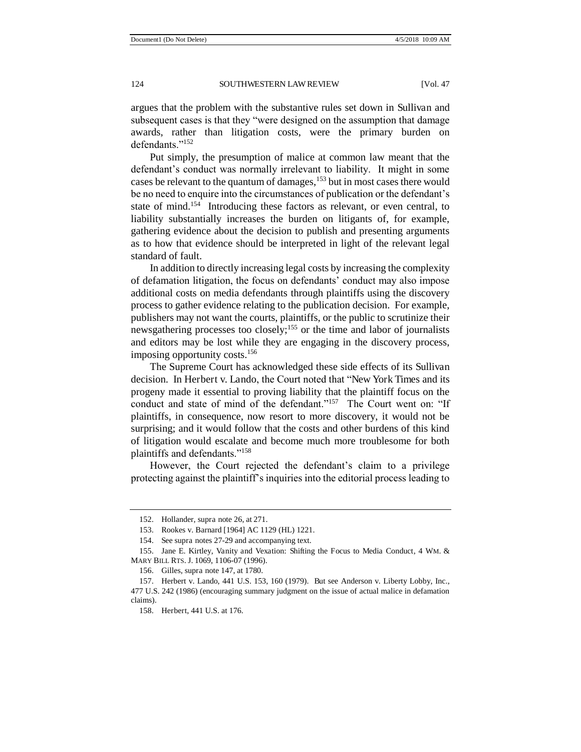argues that the problem with the substantive rules set down in Sullivan and subsequent cases is that they "were designed on the assumption that damage awards, rather than litigation costs, were the primary burden on defendants."152

Put simply, the presumption of malice at common law meant that the defendant's conduct was normally irrelevant to liability. It might in some cases be relevant to the quantum of damages, $153$  but in most cases there would be no need to enquire into the circumstances of publication or the defendant's state of mind.<sup>154</sup> Introducing these factors as relevant, or even central, to liability substantially increases the burden on litigants of, for example, gathering evidence about the decision to publish and presenting arguments as to how that evidence should be interpreted in light of the relevant legal standard of fault.

In addition to directly increasing legal costs by increasing the complexity of defamation litigation, the focus on defendants' conduct may also impose additional costs on media defendants through plaintiffs using the discovery process to gather evidence relating to the publication decision. For example, publishers may not want the courts, plaintiffs, or the public to scrutinize their newsgathering processes too closely;<sup>155</sup> or the time and labor of journalists and editors may be lost while they are engaging in the discovery process, imposing opportunity costs.<sup>156</sup>

The Supreme Court has acknowledged these side effects of its Sullivan decision. In Herbert v. Lando, the Court noted that "New York Times and its progeny made it essential to proving liability that the plaintiff focus on the conduct and state of mind of the defendant."<sup>157</sup> The Court went on: "If plaintiffs, in consequence, now resort to more discovery, it would not be surprising; and it would follow that the costs and other burdens of this kind of litigation would escalate and become much more troublesome for both plaintiffs and defendants."<sup>158</sup>

However, the Court rejected the defendant's claim to a privilege protecting against the plaintiff's inquiries into the editorial process leading to

155. Jane E. Kirtley, Vanity and Vexation: Shifting the Focus to Media Conduct, 4 WM. & MARY BILL RTS. J. 1069, 1106-07 (1996).

<sup>152.</sup> Hollander, supra note 26, at 271.

<sup>153.</sup> Rookes v. Barnard [1964] AC 1129 (HL) 1221.

<sup>154.</sup> See supra notes 27-29 and accompanying text.

<sup>156.</sup> Gilles, supra note 147, at 1780.

<sup>157.</sup> Herbert v. Lando, 441 U.S. 153, 160 (1979). But see Anderson v. Liberty Lobby, Inc., 477 U.S. 242 (1986) (encouraging summary judgment on the issue of actual malice in defamation claims).

<sup>158.</sup> Herbert, 441 U.S. at 176.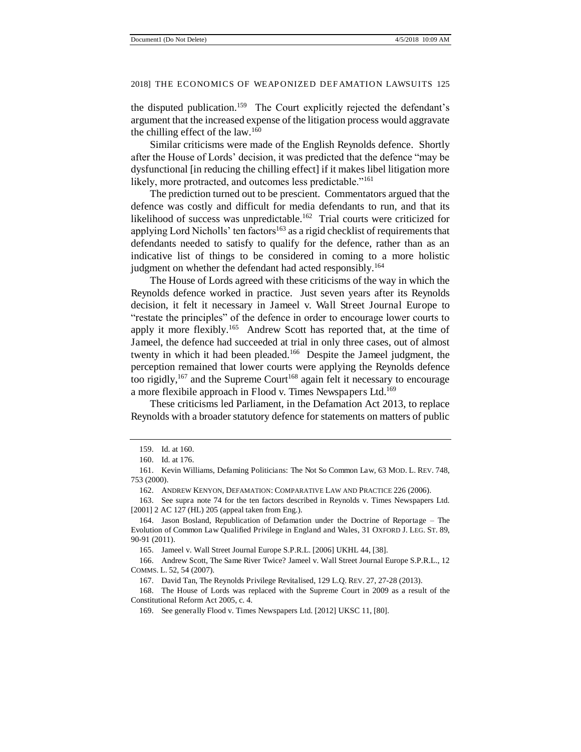the disputed publication.<sup>159</sup> The Court explicitly rejected the defendant's argument that the increased expense of the litigation process would aggravate the chilling effect of the law.<sup>160</sup>

Similar criticisms were made of the English Reynolds defence. Shortly after the House of Lords' decision, it was predicted that the defence "may be dysfunctional [in reducing the chilling effect] if it makes libel litigation more likely, more protracted, and outcomes less predictable."<sup>161</sup>

The prediction turned out to be prescient. Commentators argued that the defence was costly and difficult for media defendants to run, and that its likelihood of success was unpredictable.<sup>162</sup> Trial courts were criticized for applying Lord Nicholls' ten factors<sup>163</sup> as a rigid checklist of requirements that defendants needed to satisfy to qualify for the defence, rather than as an indicative list of things to be considered in coming to a more holistic judgment on whether the defendant had acted responsibly.<sup>164</sup>

The House of Lords agreed with these criticisms of the way in which the Reynolds defence worked in practice. Just seven years after its Reynolds decision, it felt it necessary in Jameel v. Wall Street Journal Europe to "restate the principles" of the defence in order to encourage lower courts to apply it more flexibly.<sup>165</sup> Andrew Scott has reported that, at the time of Jameel, the defence had succeeded at trial in only three cases, out of almost twenty in which it had been pleaded.<sup>166</sup> Despite the Jameel judgment, the perception remained that lower courts were applying the Reynolds defence too rigidly,<sup>167</sup> and the Supreme Court<sup>168</sup> again felt it necessary to encourage a more flexibile approach in Flood v. Times Newspapers Ltd.<sup>169</sup>

These criticisms led Parliament, in the Defamation Act 2013, to replace Reynolds with a broader statutory defence for statements on matters of public

165. Jameel v. Wall Street Journal Europe S.P.R.L. [2006] UKHL 44, [38].

166. Andrew Scott, The Same River Twice? Jameel v. Wall Street Journal Europe S.P.R.L., 12 COMMS. L. 52, 54 (2007).

168. The House of Lords was replaced with the Supreme Court in 2009 as a result of the Constitutional Reform Act 2005, c. 4.

<sup>159.</sup> Id. at 160.

<sup>160.</sup> Id. at 176.

<sup>161.</sup> Kevin Williams, Defaming Politicians: The Not So Common Law, 63 MOD. L. REV. 748, 753 (2000).

<sup>162.</sup> ANDREW KENYON, DEFAMATION: COMPARATIVE LAW AND PRACTICE 226 (2006).

<sup>163.</sup> See supra note 74 for the ten factors described in Reynolds v. Times Newspapers Ltd. [2001] 2 AC 127 (HL) 205 (appeal taken from Eng.).

<sup>164.</sup> Jason Bosland, Republication of Defamation under the Doctrine of Reportage *–* The Evolution of Common Law Qualified Privilege in England and Wales, 31 OXFORD J. LEG. ST. 89, 90-91 (2011).

<sup>167.</sup> David Tan, The Reynolds Privilege Revitalised, 129 L.Q. REV. 27, 27-28 (2013).

<sup>169.</sup> See generally Flood v. Times Newspapers Ltd. [2012] UKSC 11, [80].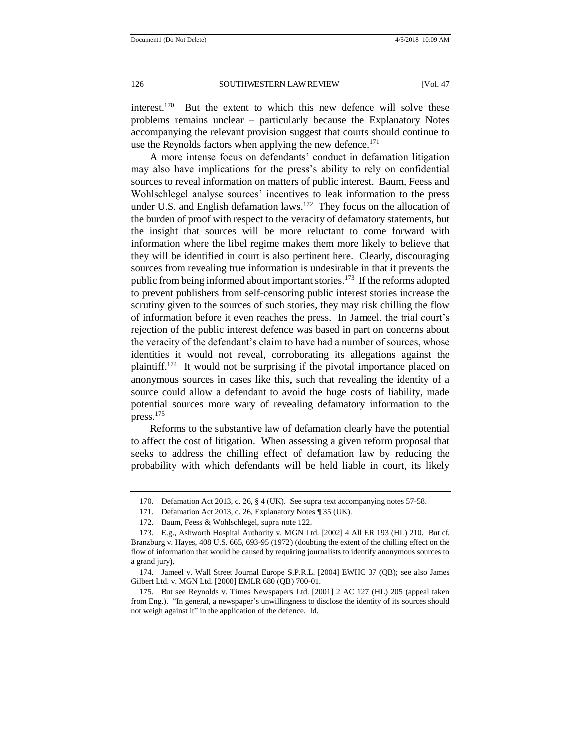interest.<sup>170</sup> But the extent to which this new defence will solve these problems remains unclear – particularly because the Explanatory Notes accompanying the relevant provision suggest that courts should continue to use the Reynolds factors when applying the new defence.<sup>171</sup>

A more intense focus on defendants' conduct in defamation litigation may also have implications for the press's ability to rely on confidential sources to reveal information on matters of public interest. Baum, Feess and Wohlschlegel analyse sources' incentives to leak information to the press under U.S. and English defamation laws.<sup>172</sup> They focus on the allocation of the burden of proof with respect to the veracity of defamatory statements, but the insight that sources will be more reluctant to come forward with information where the libel regime makes them more likely to believe that they will be identified in court is also pertinent here. Clearly, discouraging sources from revealing true information is undesirable in that it prevents the public from being informed about important stories.<sup>173</sup> If the reforms adopted to prevent publishers from self-censoring public interest stories increase the scrutiny given to the sources of such stories, they may risk chilling the flow of information before it even reaches the press. In Jameel, the trial court's rejection of the public interest defence was based in part on concerns about the veracity of the defendant's claim to have had a number of sources, whose identities it would not reveal, corroborating its allegations against the plaintiff.<sup>174</sup> It would not be surprising if the pivotal importance placed on anonymous sources in cases like this, such that revealing the identity of a source could allow a defendant to avoid the huge costs of liability, made potential sources more wary of revealing defamatory information to the press.<sup>175</sup>

Reforms to the substantive law of defamation clearly have the potential to affect the cost of litigation. When assessing a given reform proposal that seeks to address the chilling effect of defamation law by reducing the probability with which defendants will be held liable in court, its likely

<sup>170.</sup> Defamation Act 2013, c. 26, § 4 (UK). See supra text accompanying notes 57-58.

<sup>171.</sup> Defamation Act 2013, c. 26, Explanatory Notes ¶ 35 (UK).

<sup>172.</sup> Baum, Feess & Wohlschlegel, supra note 122.

<sup>173.</sup> E.g., Ashworth Hospital Authority v. MGN Ltd. [2002] 4 All ER 193 (HL) 210. But cf. Branzburg v. Hayes, 408 U.S. 665, 693-95 (1972) (doubting the extent of the chilling effect on the flow of information that would be caused by requiring journalists to identify anonymous sources to a grand jury).

<sup>174.</sup> Jameel v. Wall Street Journal Europe S.P.R.L. [2004] EWHC 37 (QB); see also James Gilbert Ltd. v. MGN Ltd. [2000] EMLR 680 (QB) 700-01.

<sup>175.</sup> But see Reynolds v. Times Newspapers Ltd. [2001] 2 AC 127 (HL) 205 (appeal taken from Eng.). "In general, a newspaper's unwillingness to disclose the identity of its sources should not weigh against it" in the application of the defence. Id.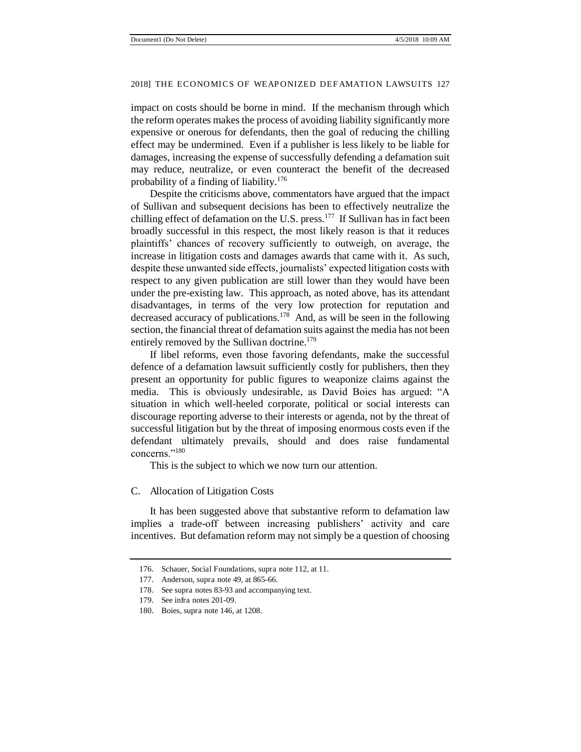impact on costs should be borne in mind. If the mechanism through which the reform operates makes the process of avoiding liability significantly more expensive or onerous for defendants, then the goal of reducing the chilling effect may be undermined. Even if a publisher is less likely to be liable for damages, increasing the expense of successfully defending a defamation suit may reduce, neutralize, or even counteract the benefit of the decreased probability of a finding of liability.<sup>176</sup>

Despite the criticisms above, commentators have argued that the impact of Sullivan and subsequent decisions has been to effectively neutralize the chilling effect of defamation on the U.S. press.<sup>177</sup> If Sullivan has in fact been broadly successful in this respect, the most likely reason is that it reduces plaintiffs' chances of recovery sufficiently to outweigh, on average, the increase in litigation costs and damages awards that came with it. As such, despite these unwanted side effects, journalists' expected litigation costs with respect to any given publication are still lower than they would have been under the pre-existing law. This approach, as noted above, has its attendant disadvantages, in terms of the very low protection for reputation and decreased accuracy of publications.<sup>178</sup> And, as will be seen in the following section, the financial threat of defamation suits against the media has not been entirely removed by the Sullivan doctrine.<sup>179</sup>

If libel reforms, even those favoring defendants, make the successful defence of a defamation lawsuit sufficiently costly for publishers, then they present an opportunity for public figures to weaponize claims against the media. This is obviously undesirable, as David Boies has argued: "A situation in which well-heeled corporate, political or social interests can discourage reporting adverse to their interests or agenda, not by the threat of successful litigation but by the threat of imposing enormous costs even if the defendant ultimately prevails, should and does raise fundamental concerns."<sup>180</sup>

This is the subject to which we now turn our attention.

#### C. Allocation of Litigation Costs

It has been suggested above that substantive reform to defamation law implies a trade-off between increasing publishers' activity and care incentives. But defamation reform may not simply be a question of choosing

<sup>176.</sup> Schauer, Social Foundations, supra note 112, at 11.

<sup>177.</sup> Anderson, supra note 49, at 865-66.

<sup>178.</sup> See supra notes 83-93 and accompanying text.

<sup>179.</sup> See infra notes 201-09.

<sup>180.</sup> Boies, supra note 146, at 1208.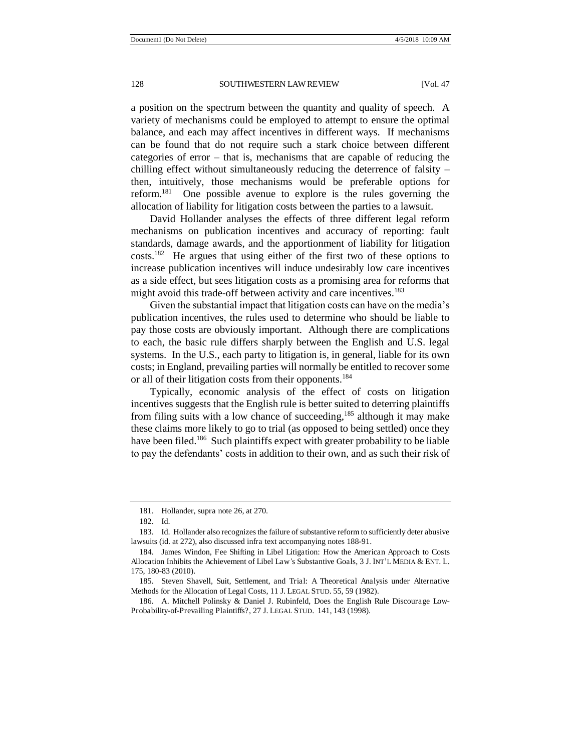a position on the spectrum between the quantity and quality of speech. A variety of mechanisms could be employed to attempt to ensure the optimal balance, and each may affect incentives in different ways. If mechanisms can be found that do not require such a stark choice between different categories of error – that is, mechanisms that are capable of reducing the chilling effect without simultaneously reducing the deterrence of falsity – then, intuitively, those mechanisms would be preferable options for reform.<sup>181</sup> One possible avenue to explore is the rules governing the allocation of liability for litigation costs between the parties to a lawsuit.

David Hollander analyses the effects of three different legal reform mechanisms on publication incentives and accuracy of reporting: fault standards, damage awards, and the apportionment of liability for litigation costs.<sup>182</sup> He argues that using either of the first two of these options to increase publication incentives will induce undesirably low care incentives as a side effect, but sees litigation costs as a promising area for reforms that might avoid this trade-off between activity and care incentives.<sup>183</sup>

Given the substantial impact that litigation costs can have on the media's publication incentives, the rules used to determine who should be liable to pay those costs are obviously important. Although there are complications to each, the basic rule differs sharply between the English and U.S. legal systems. In the U.S., each party to litigation is, in general, liable for its own costs; in England, prevailing parties will normally be entitled to recover some or all of their litigation costs from their opponents.<sup>184</sup>

Typically, economic analysis of the effect of costs on litigation incentives suggests that the English rule is better suited to deterring plaintiffs from filing suits with a low chance of succeeding,<sup>185</sup> although it may make these claims more likely to go to trial (as opposed to being settled) once they have been filed.<sup>186</sup> Such plaintiffs expect with greater probability to be liable to pay the defendants' costs in addition to their own, and as such their risk of

<sup>181.</sup> Hollander, supra note 26, at 270.

<sup>182.</sup> Id.

<sup>183.</sup> Id. Hollander also recognizes the failure of substantive reform to sufficiently deter abusive lawsuits (id. at 272), also discussed infra text accompanying notes 188-91.

<sup>184.</sup> James Windon, Fee Shifting in Libel Litigation: How the American Approach to Costs Allocation Inhibits the Achievement of Libel Law*'*s Substantive Goals, 3 J. INT'L MEDIA & ENT. L. 175, 180-83 (2010).

<sup>185.</sup> Steven Shavell, Suit, Settlement, and Trial: A Theoretical Analysis under Alternative Methods for the Allocation of Legal Costs, 11 J. LEGAL STUD. 55, 59 (1982).

<sup>186.</sup> A. Mitchell Polinsky & Daniel J. Rubinfeld, Does the English Rule Discourage Low-Probability-of-Prevailing Plaintiffs?, 27 J. LEGAL STUD. 141, 143 (1998).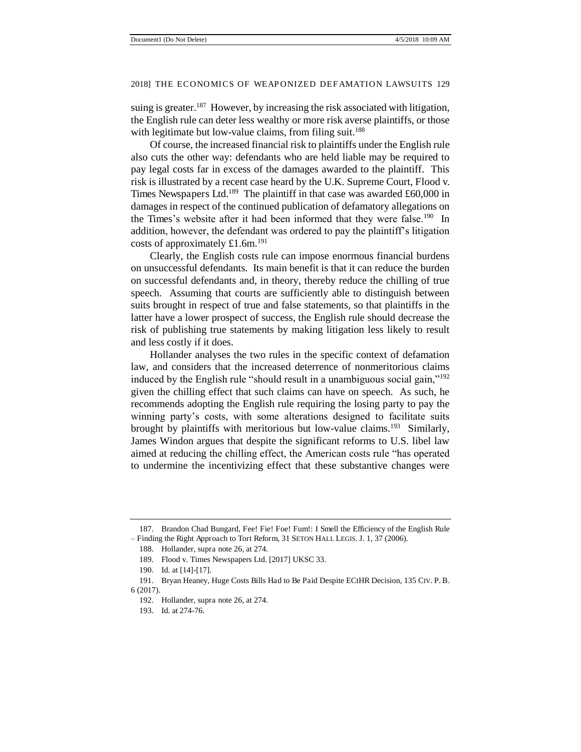suing is greater.<sup>187</sup> However, by increasing the risk associated with litigation, the English rule can deter less wealthy or more risk averse plaintiffs, or those with legitimate but low-value claims, from filing suit.<sup>188</sup>

Of course, the increased financial risk to plaintiffs under the English rule also cuts the other way: defendants who are held liable may be required to pay legal costs far in excess of the damages awarded to the plaintiff. This risk is illustrated by a recent case heard by the U.K. Supreme Court, Flood v. Times Newspapers Ltd.<sup>189</sup> The plaintiff in that case was awarded £60,000 in damages in respect of the continued publication of defamatory allegations on the Times's website after it had been informed that they were false.<sup>190</sup> In addition, however, the defendant was ordered to pay the plaintiff's litigation costs of approximately £1.6m.<sup>191</sup>

Clearly, the English costs rule can impose enormous financial burdens on unsuccessful defendants. Its main benefit is that it can reduce the burden on successful defendants and, in theory, thereby reduce the chilling of true speech. Assuming that courts are sufficiently able to distinguish between suits brought in respect of true and false statements, so that plaintiffs in the latter have a lower prospect of success, the English rule should decrease the risk of publishing true statements by making litigation less likely to result and less costly if it does.

Hollander analyses the two rules in the specific context of defamation law, and considers that the increased deterrence of nonmeritorious claims induced by the English rule "should result in a unambiguous social gain,"<sup>192</sup> given the chilling effect that such claims can have on speech. As such, he recommends adopting the English rule requiring the losing party to pay the winning party's costs, with some alterations designed to facilitate suits brought by plaintiffs with meritorious but low-value claims.<sup>193</sup> Similarly, James Windon argues that despite the significant reforms to U.S. libel law aimed at reducing the chilling effect, the American costs rule "has operated to undermine the incentivizing effect that these substantive changes were

<sup>187.</sup> Brandon Chad Bungard, Fee! Fie! Foe! Fum!: I Smell the Efficiency of the English Rule *–* Finding the Right Approach to Tort Reform, 31 SETON HALL LEGIS. J. 1, 37 (2006).

<sup>188.</sup> Hollander, supra note 26, at 274.

<sup>189.</sup> Flood v. Times Newspapers Ltd. [2017] UKSC 33.

<sup>190.</sup> Id. at [14]-[17].

<sup>191.</sup> Bryan Heaney, Huge Costs Bills Had to Be Paid Despite ECtHR Decision, 135 CIV. P. B. 6 (2017).

<sup>192.</sup> Hollander, supra note 26, at 274.

<sup>193.</sup> Id. at 274-76.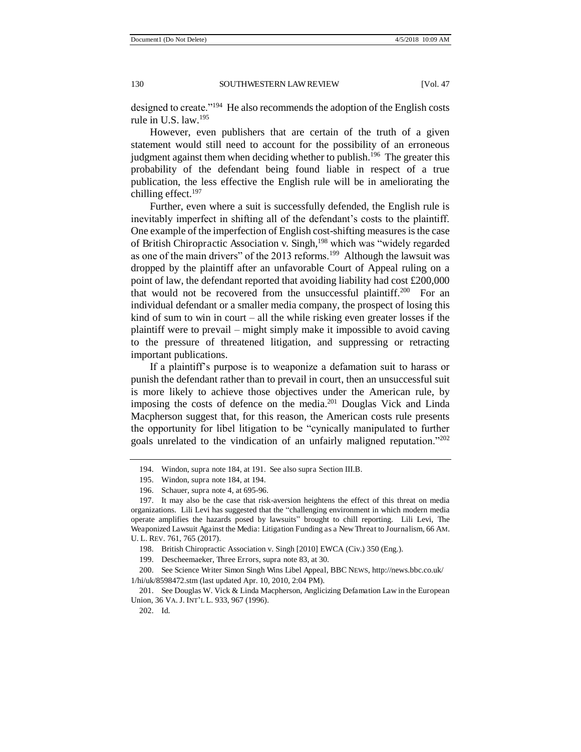designed to create."<sup>194</sup> He also recommends the adoption of the English costs rule in U.S. law.<sup>195</sup>

However, even publishers that are certain of the truth of a given statement would still need to account for the possibility of an erroneous judgment against them when deciding whether to publish.<sup>196</sup> The greater this probability of the defendant being found liable in respect of a true publication, the less effective the English rule will be in ameliorating the chilling effect.<sup>197</sup>

Further, even where a suit is successfully defended, the English rule is inevitably imperfect in shifting all of the defendant's costs to the plaintiff. One example of the imperfection of English cost-shifting measures is the case of British Chiropractic Association v. Singh,<sup>198</sup> which was "widely regarded as one of the main drivers" of the 2013 reforms.<sup>199</sup> Although the lawsuit was dropped by the plaintiff after an unfavorable Court of Appeal ruling on a point of law, the defendant reported that avoiding liability had cost £200,000 that would not be recovered from the unsuccessful plaintiff.<sup>200</sup> For an individual defendant or a smaller media company, the prospect of losing this kind of sum to win in court – all the while risking even greater losses if the plaintiff were to prevail – might simply make it impossible to avoid caving to the pressure of threatened litigation, and suppressing or retracting important publications.

If a plaintiff's purpose is to weaponize a defamation suit to harass or punish the defendant rather than to prevail in court, then an unsuccessful suit is more likely to achieve those objectives under the American rule, by imposing the costs of defence on the media.<sup>201</sup> Douglas Vick and Linda Macpherson suggest that, for this reason, the American costs rule presents the opportunity for libel litigation to be "cynically manipulated to further goals unrelated to the vindication of an unfairly maligned reputation."<sup>202</sup>

198. British Chiropractic Association v. Singh [2010] EWCA (Civ.) 350 (Eng.).

199. Descheemaeker, Three Errors, supra note 83, at 30.

200. See Science Writer Simon Singh Wins Libel Appeal, BBC NEWS, http://news.bbc.co.uk/ 1/hi/uk/8598472.stm (last updated Apr. 10, 2010, 2:04 PM).

201. See Douglas W. Vick & Linda Macpherson, Anglicizing Defamation Law in the European Union, 36 VA. J. INT'L L. 933, 967 (1996).

202. Id.

<sup>194.</sup> Windon, supra note 184, at 191. See also supra Section III.B.

<sup>195.</sup> Windon, supra note 184, at 194.

<sup>196.</sup> Schauer, supra note 4, at 695-96.

<sup>197.</sup> It may also be the case that risk-aversion heightens the effect of this threat on media organizations. Lili Levi has suggested that the "challenging environment in which modern media operate amplifies the hazards posed by lawsuits" brought to chill reporting. Lili Levi, The Weaponized Lawsuit Against the Media: Litigation Funding as a New Threat to Journalism, 66 AM. U. L. REV. 761, 765 (2017).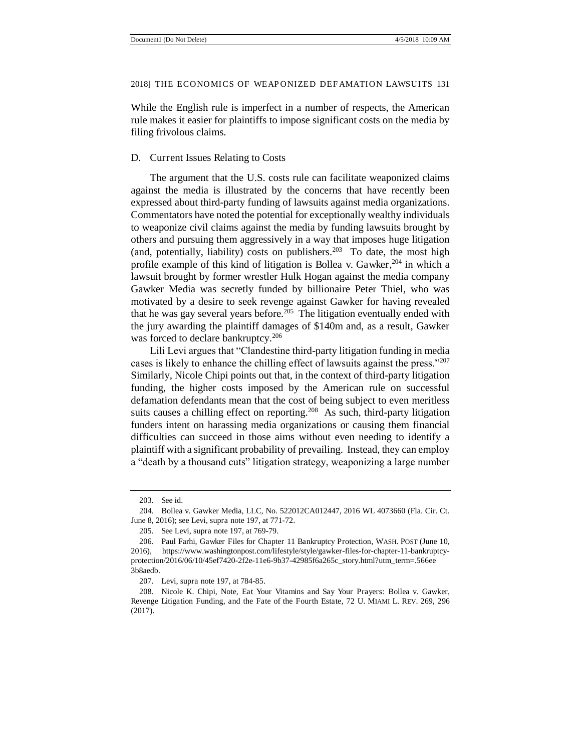While the English rule is imperfect in a number of respects, the American rule makes it easier for plaintiffs to impose significant costs on the media by filing frivolous claims.

#### D. Current Issues Relating to Costs

The argument that the U.S. costs rule can facilitate weaponized claims against the media is illustrated by the concerns that have recently been expressed about third-party funding of lawsuits against media organizations. Commentators have noted the potential for exceptionally wealthy individuals to weaponize civil claims against the media by funding lawsuits brought by others and pursuing them aggressively in a way that imposes huge litigation (and, potentially, liability) costs on publishers.<sup>203</sup> To date, the most high profile example of this kind of litigation is Bollea v. Gawker,  $204$  in which a lawsuit brought by former wrestler Hulk Hogan against the media company Gawker Media was secretly funded by billionaire Peter Thiel, who was motivated by a desire to seek revenge against Gawker for having revealed that he was gay several years before. $205$  The litigation eventually ended with the jury awarding the plaintiff damages of \$140m and, as a result, Gawker was forced to declare bankruptcy.<sup>206</sup>

Lili Levi argues that "Clandestine third-party litigation funding in media cases is likely to enhance the chilling effect of lawsuits against the press."<sup>207</sup> Similarly, Nicole Chipi points out that, in the context of third-party litigation funding, the higher costs imposed by the American rule on successful defamation defendants mean that the cost of being subject to even meritless suits causes a chilling effect on reporting.<sup>208</sup> As such, third-party litigation funders intent on harassing media organizations or causing them financial difficulties can succeed in those aims without even needing to identify a plaintiff with a significant probability of prevailing. Instead, they can employ a "death by a thousand cuts" litigation strategy, weaponizing a large number

<sup>203.</sup> See id.

<sup>204.</sup> Bollea v. Gawker Media, LLC, No. 522012CA012447, 2016 WL 4073660 (Fla. Cir. Ct. June 8, 2016); see Levi, supra note 197, at 771-72.

<sup>205.</sup> See Levi, supra note 197, at 769-79.

<sup>206.</sup> Paul Farhi, Gawker Files for Chapter 11 Bankruptcy Protection, WASH. POST (June 10, 2016), https://www.washingtonpost.com/lifestyle/style/gawker-files-for-chapter-11-bankruptcyprotection/2016/06/10/45ef7420-2f2e-11e6-9b37-42985f6a265c\_story.html?utm\_term=.566ee 3b8aedb.

<sup>207.</sup> Levi, supra note 197, at 784-85.

<sup>208.</sup> Nicole K. Chipi, Note, Eat Your Vitamins and Say Your Prayers: Bollea v. Gawker, Revenge Litigation Funding, and the Fate of the Fourth Estate, 72 U. MIAMI L. REV. 269, 296 (2017).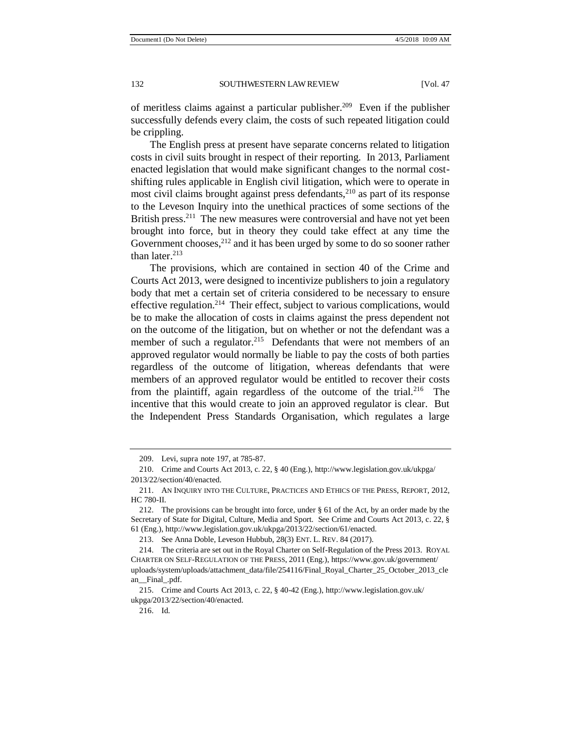of meritless claims against a particular publisher.<sup>209</sup> Even if the publisher successfully defends every claim, the costs of such repeated litigation could be crippling.

The English press at present have separate concerns related to litigation costs in civil suits brought in respect of their reporting. In 2013, Parliament enacted legislation that would make significant changes to the normal costshifting rules applicable in English civil litigation, which were to operate in most civil claims brought against press defendants,  $2^{10}$  as part of its response to the Leveson Inquiry into the unethical practices of some sections of the British press.<sup>211</sup> The new measures were controversial and have not yet been brought into force, but in theory they could take effect at any time the Government chooses, $^{212}$  and it has been urged by some to do so sooner rather than later. $213$ 

The provisions, which are contained in section 40 of the Crime and Courts Act 2013, were designed to incentivize publishers to join a regulatory body that met a certain set of criteria considered to be necessary to ensure effective regulation.<sup>214</sup> Their effect, subject to various complications, would be to make the allocation of costs in claims against the press dependent not on the outcome of the litigation, but on whether or not the defendant was a member of such a regulator.<sup>215</sup> Defendants that were not members of an approved regulator would normally be liable to pay the costs of both parties regardless of the outcome of litigation, whereas defendants that were members of an approved regulator would be entitled to recover their costs from the plaintiff, again regardless of the outcome of the trial.<sup>216</sup> The incentive that this would create to join an approved regulator is clear. But the Independent Press Standards Organisation, which regulates a large

216. Id.

<sup>209.</sup> Levi, supra note 197, at 785-87.

<sup>210.</sup> Crime and Courts Act 2013, c. 22, § 40 (Eng.), http://www.legislation.gov.uk/ukpga/ 2013/22/section/40/enacted.

<sup>211.</sup> AN INQUIRY INTO THE CULTURE, PRACTICES AND ETHICS OF THE PRESS, REPORT, 2012, HC 780-II.

<sup>212.</sup> The provisions can be brought into force, under § 61 of the Act, by an order made by the Secretary of State for Digital, Culture, Media and Sport. See Crime and Courts Act 2013, c. 22, § 61 (Eng.), http://www.legislation.gov.uk/ukpga/2013/22/section/61/enacted.

<sup>213.</sup> See Anna Doble, Leveson Hubbub, 28(3) ENT. L. REV. 84 (2017).

<sup>214.</sup> The criteria are set out in the Royal Charter on Self-Regulation of the Press 2013. ROYAL CHARTER ON SELF-REGULATION OF THE PRESS, 2011 (Eng.), https://www.gov.uk/government/ uploads/system/uploads/attachment\_data/file/254116/Final\_Royal\_Charter\_25\_October\_2013\_cle an\_\_Final\_.pdf.

<sup>215.</sup> Crime and Courts Act 2013, c. 22, § 40-42 (Eng.), http://www.legislation.gov.uk/ ukpga/2013/22/section/40/enacted.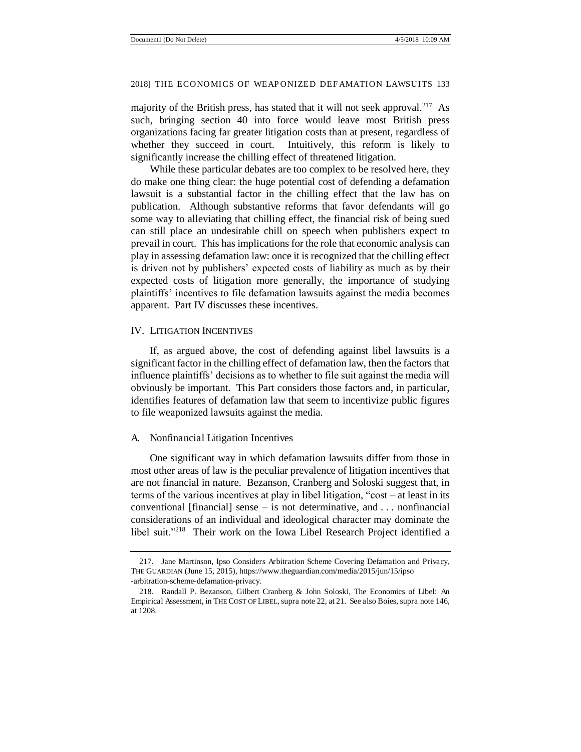majority of the British press, has stated that it will not seek approval.<sup>217</sup> As such, bringing section 40 into force would leave most British press organizations facing far greater litigation costs than at present, regardless of whether they succeed in court. Intuitively, this reform is likely to significantly increase the chilling effect of threatened litigation.

While these particular debates are too complex to be resolved here, they do make one thing clear: the huge potential cost of defending a defamation lawsuit is a substantial factor in the chilling effect that the law has on publication. Although substantive reforms that favor defendants will go some way to alleviating that chilling effect, the financial risk of being sued can still place an undesirable chill on speech when publishers expect to prevail in court. This has implications for the role that economic analysis can play in assessing defamation law: once it is recognized that the chilling effect is driven not by publishers' expected costs of liability as much as by their expected costs of litigation more generally, the importance of studying plaintiffs' incentives to file defamation lawsuits against the media becomes apparent. Part IV discusses these incentives.

#### IV. LITIGATION INCENTIVES

If, as argued above, the cost of defending against libel lawsuits is a significant factor in the chilling effect of defamation law, then the factors that influence plaintiffs' decisions as to whether to file suit against the media will obviously be important. This Part considers those factors and, in particular, identifies features of defamation law that seem to incentivize public figures to file weaponized lawsuits against the media.

#### A. Nonfinancial Litigation Incentives

One significant way in which defamation lawsuits differ from those in most other areas of law is the peculiar prevalence of litigation incentives that are not financial in nature. Bezanson, Cranberg and Soloski suggest that, in terms of the various incentives at play in libel litigation, "cost – at least in its conventional [financial] sense – is not determinative, and  $\ldots$  nonfinancial considerations of an individual and ideological character may dominate the libel suit."<sup>218</sup> Their work on the Iowa Libel Research Project identified a

<sup>217.</sup> Jane Martinson, Ipso Considers Arbitration Scheme Covering Defamation and Privacy, THE GUARDIAN (June 15, 2015), https://www.theguardian.com/media/2015/jun/15/ipso -arbitration-scheme-defamation-privacy.

<sup>218.</sup> Randall P. Bezanson, Gilbert Cranberg & John Soloski, The Economics of Libel: An Empirical Assessment, in THE COST OF LIBEL, supra note 22, at 21. See also Boies, supra note 146, at 1208.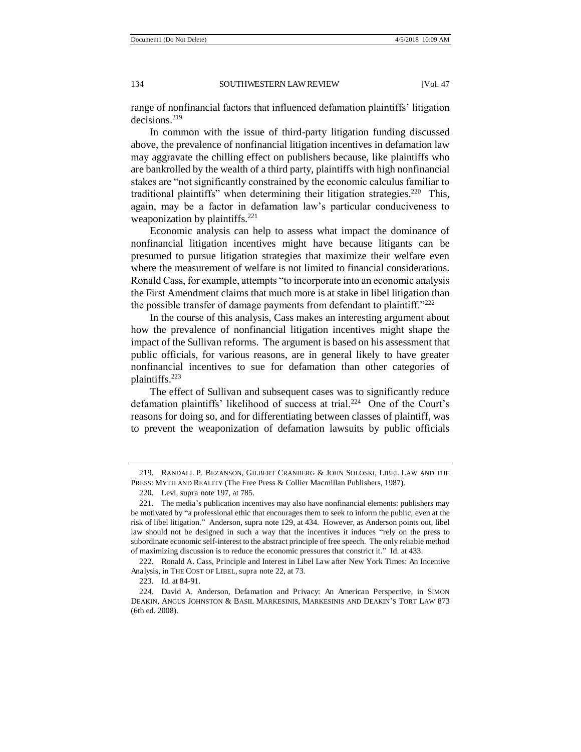range of nonfinancial factors that influenced defamation plaintiffs' litigation decisions.<sup>219</sup>

In common with the issue of third-party litigation funding discussed above, the prevalence of nonfinancial litigation incentives in defamation law may aggravate the chilling effect on publishers because, like plaintiffs who are bankrolled by the wealth of a third party, plaintiffs with high nonfinancial stakes are "not significantly constrained by the economic calculus familiar to traditional plaintiffs" when determining their litigation strategies.<sup>220</sup> This, again, may be a factor in defamation law's particular conduciveness to weaponization by plaintiffs. $221$ 

Economic analysis can help to assess what impact the dominance of nonfinancial litigation incentives might have because litigants can be presumed to pursue litigation strategies that maximize their welfare even where the measurement of welfare is not limited to financial considerations. Ronald Cass, for example, attempts "to incorporate into an economic analysis the First Amendment claims that much more is at stake in libel litigation than the possible transfer of damage payments from defendant to plaintiff."<sup>222</sup>

In the course of this analysis, Cass makes an interesting argument about how the prevalence of nonfinancial litigation incentives might shape the impact of the Sullivan reforms. The argument is based on his assessment that public officials, for various reasons, are in general likely to have greater nonfinancial incentives to sue for defamation than other categories of plaintiffs.<sup>223</sup>

The effect of Sullivan and subsequent cases was to significantly reduce defamation plaintiffs' likelihood of success at trial.<sup>224</sup> One of the Court's reasons for doing so, and for differentiating between classes of plaintiff, was to prevent the weaponization of defamation lawsuits by public officials

<sup>219.</sup> RANDALL P. BEZANSON, GILBERT CRANBERG & JOHN SOLOSKI, LIBEL LAW AND THE PRESS: MYTH AND REALITY (The Free Press & Collier Macmillan Publishers, 1987).

<sup>220.</sup> Levi, supra note 197, at 785.

<sup>221.</sup> The media's publication incentives may also have nonfinancial elements: publishers may be motivated by "a professional ethic that encourages them to seek to inform the public, even at the risk of libel litigation." Anderson, supra note 129, at 434. However, as Anderson points out, libel law should not be designed in such a way that the incentives it induces "rely on the press to subordinate economic self-interest to the abstract principle of free speech. The only reliable method of maximizing discussion is to reduce the economic pressures that constrict it." Id. at 433.

<sup>222.</sup> Ronald A. Cass, Principle and Interest in Libel Law after New York Times: An Incentive Analysis, in THE COST OF LIBEL, supra note 22, at 73.

<sup>223.</sup> Id. at 84-91.

<sup>224.</sup> David A. Anderson, Defamation and Privacy: An American Perspective, in SIMON DEAKIN, ANGUS JOHNSTON & BASIL MARKESINIS, MARKESINIS AND DEAKIN'S TORT LAW 873 (6th ed. 2008).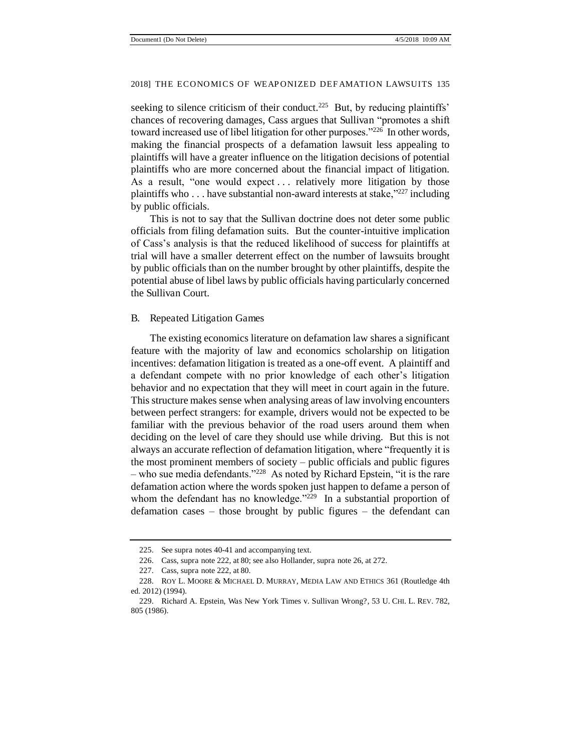seeking to silence criticism of their conduct.<sup>225</sup> But, by reducing plaintiffs' chances of recovering damages, Cass argues that Sullivan "promotes a shift toward increased use of libel litigation for other purposes."<sup>226</sup> In other words, making the financial prospects of a defamation lawsuit less appealing to plaintiffs will have a greater influence on the litigation decisions of potential plaintiffs who are more concerned about the financial impact of litigation. As a result, "one would expect ... relatively more litigation by those plaintiffs who . . . have substantial non-award interests at stake,"<sup>227</sup> including by public officials.

This is not to say that the Sullivan doctrine does not deter some public officials from filing defamation suits. But the counter-intuitive implication of Cass's analysis is that the reduced likelihood of success for plaintiffs at trial will have a smaller deterrent effect on the number of lawsuits brought by public officials than on the number brought by other plaintiffs, despite the potential abuse of libel laws by public officials having particularly concerned the Sullivan Court.

#### B. Repeated Litigation Games

The existing economics literature on defamation law shares a significant feature with the majority of law and economics scholarship on litigation incentives: defamation litigation is treated as a one-off event. A plaintiff and a defendant compete with no prior knowledge of each other's litigation behavior and no expectation that they will meet in court again in the future. This structure makes sense when analysing areas of law involving encounters between perfect strangers: for example, drivers would not be expected to be familiar with the previous behavior of the road users around them when deciding on the level of care they should use while driving. But this is not always an accurate reflection of defamation litigation, where "frequently it is the most prominent members of society – public officials and public figures – who sue media defendants."<sup>228</sup> As noted by Richard Epstein, "it is the rare defamation action where the words spoken just happen to defame a person of whom the defendant has no knowledge."<sup>229</sup> In a substantial proportion of defamation cases – those brought by public figures – the defendant can

<sup>225.</sup> See supra notes 40-41 and accompanying text.

<sup>226.</sup> Cass, supra note 222, at 80; see also Hollander, supra note 26, at 272.

<sup>227.</sup> Cass, supra note 222, at 80.

<sup>228.</sup> ROY L. MOORE & MICHAEL D. MURRAY, MEDIA LAW AND ETHICS 361 (Routledge 4th ed. 2012) (1994).

<sup>229.</sup> Richard A. Epstein, Was New York Times v. Sullivan Wrong?, 53 U. CHI. L. REV. 782, 805 (1986).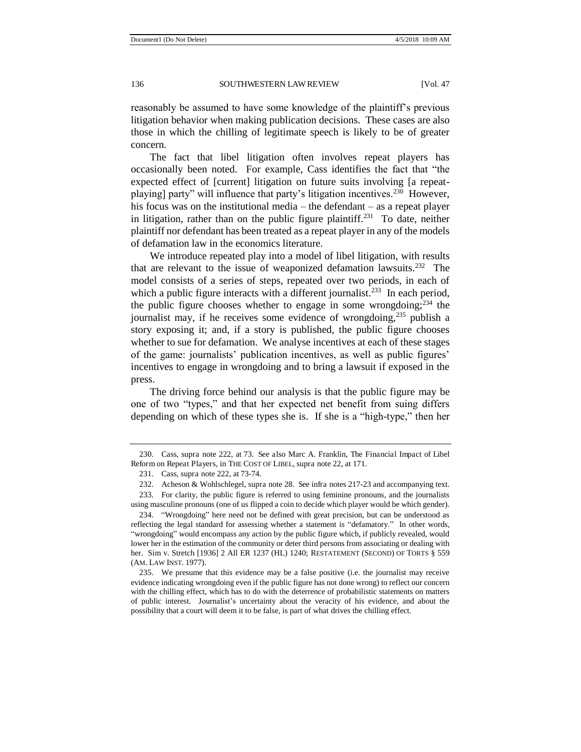reasonably be assumed to have some knowledge of the plaintiff's previous litigation behavior when making publication decisions. These cases are also those in which the chilling of legitimate speech is likely to be of greater concern.

The fact that libel litigation often involves repeat players has occasionally been noted. For example, Cass identifies the fact that "the expected effect of [current] litigation on future suits involving [a repeatplaying] party" will influence that party's litigation incentives.<sup>230</sup> However, his focus was on the institutional media – the defendant – as a repeat player in litigation, rather than on the public figure plaintiff.<sup>231</sup> To date, neither plaintiff nor defendant has been treated as a repeat player in any of the models of defamation law in the economics literature.

We introduce repeated play into a model of libel litigation, with results that are relevant to the issue of weaponized defamation lawsuits.<sup>232</sup> The model consists of a series of steps, repeated over two periods, in each of which a public figure interacts with a different journalist.<sup>233</sup> In each period, the public figure chooses whether to engage in some wrongdoing; $^{234}$  the journalist may, if he receives some evidence of wrongdoing, $^{235}$  publish a story exposing it; and, if a story is published, the public figure chooses whether to sue for defamation. We analyse incentives at each of these stages of the game: journalists' publication incentives, as well as public figures' incentives to engage in wrongdoing and to bring a lawsuit if exposed in the press.

The driving force behind our analysis is that the public figure may be one of two "types," and that her expected net benefit from suing differs depending on which of these types she is. If she is a "high-type," then her

<sup>230.</sup> Cass, supra note 222, at 73. See also Marc A. Franklin, The Financial Impact of Libel Reform on Repeat Players, in THE COST OF LIBEL, supra note 22, at 171.

<sup>231.</sup> Cass, supra note 222, at 73-74.

<sup>232.</sup> Acheson & Wohlschlegel, supra note 28. See infra notes 217-23 and accompanying text.

<sup>233.</sup> For clarity, the public figure is referred to using feminine pronouns, and the journalists using masculine pronouns (one of us flipped a coin to decide which player would be which gender).

<sup>234.</sup> "Wrongdoing" here need not be defined with great precision, but can be understood as reflecting the legal standard for assessing whether a statement is "defamatory." In other words, "wrongdoing" would encompass any action by the public figure which, if publicly revealed, would lower her in the estimation of the community or deter third persons from associating or dealing with her. Sim v. Stretch [1936] 2 All ER 1237 (HL) 1240; RESTATEMENT (SECOND) OF TORTS § 559 (AM. LAW INST. 1977).

<sup>235.</sup> We presume that this evidence may be a false positive (i.e. the journalist may receive evidence indicating wrongdoing even if the public figure has not done wrong) to reflect our concern with the chilling effect, which has to do with the deterrence of probabilistic statements on matters of public interest. Journalist's uncertainty about the veracity of his evidence, and about the possibility that a court will deem it to be false, is part of what drives the chilling effect.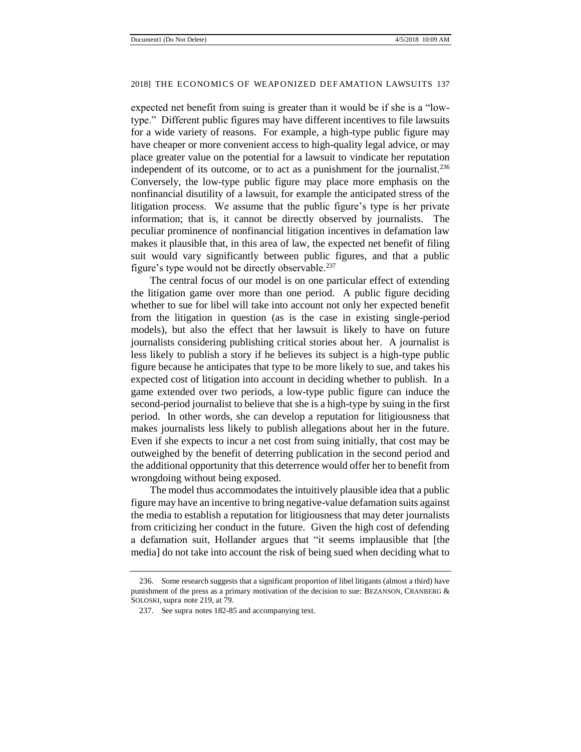expected net benefit from suing is greater than it would be if she is a "lowtype." Different public figures may have different incentives to file lawsuits for a wide variety of reasons. For example, a high-type public figure may have cheaper or more convenient access to high-quality legal advice, or may place greater value on the potential for a lawsuit to vindicate her reputation independent of its outcome, or to act as a punishment for the journalist.<sup>236</sup> Conversely, the low-type public figure may place more emphasis on the nonfinancial disutility of a lawsuit, for example the anticipated stress of the litigation process. We assume that the public figure's type is her private information; that is, it cannot be directly observed by journalists. The peculiar prominence of nonfinancial litigation incentives in defamation law makes it plausible that, in this area of law, the expected net benefit of filing suit would vary significantly between public figures, and that a public figure's type would not be directly observable.<sup>237</sup>

The central focus of our model is on one particular effect of extending the litigation game over more than one period. A public figure deciding whether to sue for libel will take into account not only her expected benefit from the litigation in question (as is the case in existing single-period models), but also the effect that her lawsuit is likely to have on future journalists considering publishing critical stories about her. A journalist is less likely to publish a story if he believes its subject is a high-type public figure because he anticipates that type to be more likely to sue, and takes his expected cost of litigation into account in deciding whether to publish. In a game extended over two periods, a low-type public figure can induce the second-period journalist to believe that she is a high-type by suing in the first period. In other words, she can develop a reputation for litigiousness that makes journalists less likely to publish allegations about her in the future. Even if she expects to incur a net cost from suing initially, that cost may be outweighed by the benefit of deterring publication in the second period and the additional opportunity that this deterrence would offer her to benefit from wrongdoing without being exposed.

The model thus accommodates the intuitively plausible idea that a public figure may have an incentive to bring negative-value defamation suits against the media to establish a reputation for litigiousness that may deter journalists from criticizing her conduct in the future. Given the high cost of defending a defamation suit, Hollander argues that "it seems implausible that [the media] do not take into account the risk of being sued when deciding what to

<sup>236.</sup> Some research suggests that a significant proportion of libel litigants (almost a third) have punishment of the press as a primary motivation of the decision to sue: BEZANSON, CRANBERG & SOLOSKI, supra note 219, at 79.

<sup>237.</sup> See supra notes 182-85 and accompanying text.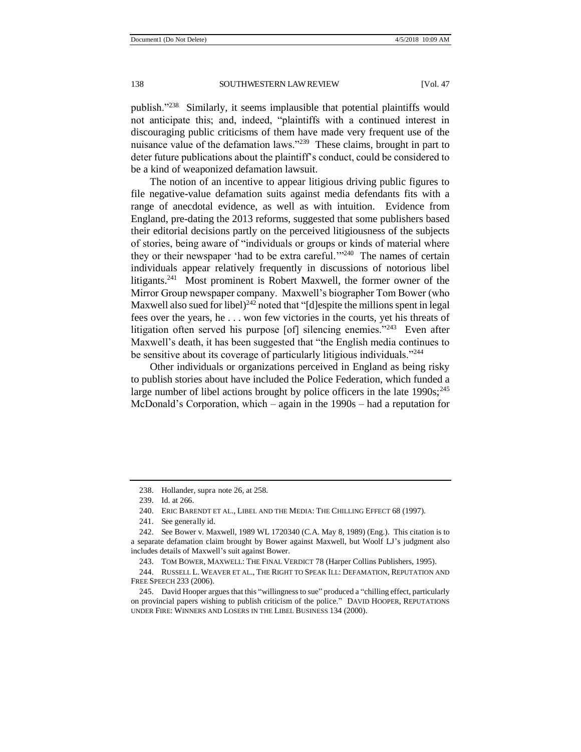publish."<sup>238</sup> Similarly, it seems implausible that potential plaintiffs would not anticipate this; and, indeed, "plaintiffs with a continued interest in discouraging public criticisms of them have made very frequent use of the nuisance value of the defamation laws."<sup>239</sup> These claims, brought in part to deter future publications about the plaintiff's conduct, could be considered to be a kind of weaponized defamation lawsuit.

The notion of an incentive to appear litigious driving public figures to file negative-value defamation suits against media defendants fits with a range of anecdotal evidence, as well as with intuition.Evidence from England, pre-dating the 2013 reforms, suggested that some publishers based their editorial decisions partly on the perceived litigiousness of the subjects of stories, being aware of "individuals or groups or kinds of material where they or their newspaper 'had to be extra careful.'"<sup>240</sup> The names of certain individuals appear relatively frequently in discussions of notorious libel litigants.<sup>241</sup> Most prominent is Robert Maxwell, the former owner of the Mirror Group newspaper company. Maxwell's biographer Tom Bower (who Maxwell also sued for libel)<sup>242</sup> noted that "[d]espite the millions spent in legal fees over the years, he . . . won few victories in the courts, yet his threats of litigation often served his purpose [of] silencing enemies."<sup>243</sup> Even after Maxwell's death, it has been suggested that "the English media continues to be sensitive about its coverage of particularly litigious individuals."<sup>244</sup>

Other individuals or organizations perceived in England as being risky to publish stories about have included the Police Federation, which funded a large number of libel actions brought by police officers in the late  $1990s$ ;<sup>245</sup> McDonald's Corporation, which – again in the 1990s – had a reputation for

<sup>238.</sup> Hollander, supra note 26, at 258.

<sup>239.</sup> Id. at 266.

<sup>240.</sup> ERIC BARENDT ET AL., LIBEL AND THE MEDIA: THE CHILLING EFFECT 68 (1997).

<sup>241.</sup> See generally id.

<sup>242.</sup> See Bower v. Maxwell, 1989 WL 1720340 (C.A. May 8, 1989) (Eng.). This citation is to a separate defamation claim brought by Bower against Maxwell, but Woolf LJ's judgment also includes details of Maxwell's suit against Bower.

<sup>243.</sup> TOM BOWER, MAXWELL: THE FINAL VERDICT 78 (Harper Collins Publishers, 1995).

<sup>244.</sup> RUSSELL L. WEAVER ET AL., THE RIGHT TO SPEAK ILL: DEFAMATION, REPUTATION AND FREE SPEECH 233 (2006).

<sup>245.</sup> David Hooper argues that this "willingness to sue" produced a "chilling effect, particularly on provincial papers wishing to publish criticism of the police." DAVID HOOPER, REPUTATIONS UNDER FIRE: WINNERS AND LOSERS IN THE LIBEL BUSINESS 134 (2000).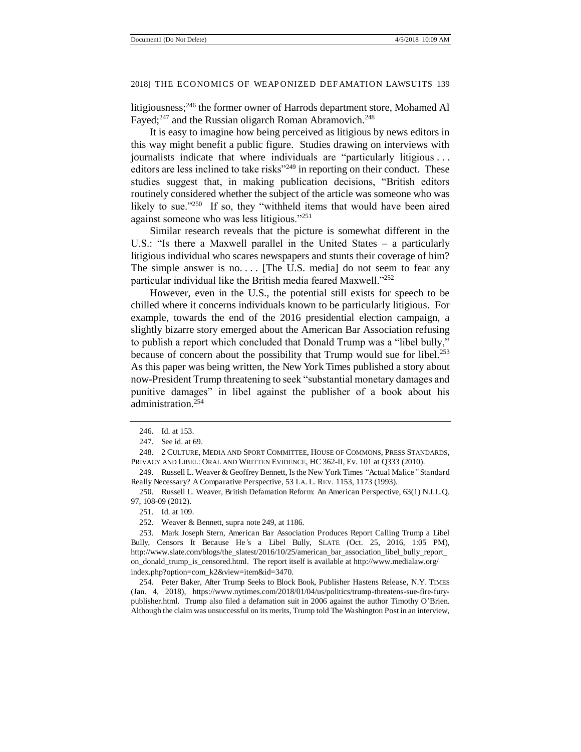litigiousness;<sup>246</sup> the former owner of Harrods department store, Mohamed Al Fayed; $^{247}$  and the Russian oligarch Roman Abramovich.<sup>248</sup>

It is easy to imagine how being perceived as litigious by news editors in this way might benefit a public figure. Studies drawing on interviews with journalists indicate that where individuals are "particularly litigious . . . editors are less inclined to take risks"<sup>249</sup> in reporting on their conduct. These studies suggest that, in making publication decisions, "British editors routinely considered whether the subject of the article was someone who was likely to sue."250 If so, they "withheld items that would have been aired against someone who was less litigious."<sup>251</sup>

Similar research reveals that the picture is somewhat different in the U.S.: "Is there a Maxwell parallel in the United States – a particularly litigious individual who scares newspapers and stunts their coverage of him? The simple answer is no.... [The U.S. media] do not seem to fear any particular individual like the British media feared Maxwell."<sup>252</sup>

However, even in the U.S., the potential still exists for speech to be chilled where it concerns individuals known to be particularly litigious. For example, towards the end of the 2016 presidential election campaign, a slightly bizarre story emerged about the American Bar Association refusing to publish a report which concluded that Donald Trump was a "libel bully," because of concern about the possibility that Trump would sue for libel.<sup>253</sup> As this paper was being written, the New York Times published a story about now-President Trump threatening to seek "substantial monetary damages and punitive damages" in libel against the publisher of a book about his administration.<sup>254</sup>

252. Weaver & Bennett, supra note 249, at 1186.

<sup>246.</sup> Id. at 153.

<sup>247.</sup> See id. at 69.

<sup>248. 2</sup> CULTURE, MEDIA AND SPORT COMMITTEE, HOUSE OF COMMONS, PRESS STANDARDS, PRIVACY AND LIBEL: ORAL AND WRITTEN EVIDENCE, HC 362-II, Ev. 101 at Q333 (2010).

<sup>249.</sup> Russell L. Weaver & Geoffrey Bennett, Is the New York Times *"*Actual Malice*"* Standard Really Necessary? A Comparative Perspective, 53 LA. L. REV. 1153, 1173 (1993).

<sup>250.</sup> Russell L. Weaver, British Defamation Reform: An American Perspective, 63(1) N.I.L.Q. 97, 108-09 (2012).

<sup>251.</sup> Id. at 109.

<sup>253.</sup> Mark Joseph Stern, American Bar Association Produces Report Calling Trump a Libel Bully, Censors It Because He*'*s a Libel Bully, SLATE (Oct. 25, 2016, 1:05 PM), http://www.slate.com/blogs/the\_slatest/2016/10/25/american\_bar\_association\_libel\_bully\_report\_ on\_donald\_trump\_is\_censored.html. The report itself is available at http://www.medialaw.org/ index.php?option=com\_k2&view=item&id=3470.

<sup>254.</sup> Peter Baker, After Trump Seeks to Block Book, Publisher Hastens Release, N.Y. TIMES (Jan. 4, 2018), https://www.nytimes.com/2018/01/04/us/politics/trump-threatens-sue-fire-furypublisher.html. Trump also filed a defamation suit in 2006 against the author Timothy O'Brien. Although the claim was unsuccessful on its merits, Trump told The Washington Post in an interview,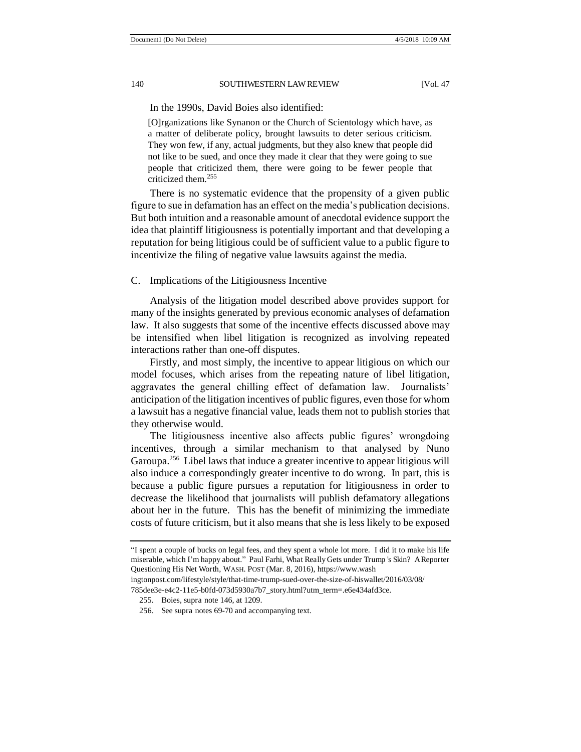In the 1990s, David Boies also identified:

[O]rganizations like Synanon or the Church of Scientology which have, as a matter of deliberate policy, brought lawsuits to deter serious criticism. They won few, if any, actual judgments, but they also knew that people did not like to be sued, and once they made it clear that they were going to sue people that criticized them, there were going to be fewer people that criticized them.<sup>255</sup>

There is no systematic evidence that the propensity of a given public figure to sue in defamation has an effect on the media's publication decisions. But both intuition and a reasonable amount of anecdotal evidence support the idea that plaintiff litigiousness is potentially important and that developing a reputation for being litigious could be of sufficient value to a public figure to incentivize the filing of negative value lawsuits against the media.

#### C. Implications of the Litigiousness Incentive

Analysis of the litigation model described above provides support for many of the insights generated by previous economic analyses of defamation law. It also suggests that some of the incentive effects discussed above may be intensified when libel litigation is recognized as involving repeated interactions rather than one-off disputes.

Firstly, and most simply, the incentive to appear litigious on which our model focuses, which arises from the repeating nature of libel litigation, aggravates the general chilling effect of defamation law. Journalists' anticipation of the litigation incentives of public figures, even those for whom a lawsuit has a negative financial value, leads them not to publish stories that they otherwise would.

The litigiousness incentive also affects public figures' wrongdoing incentives, through a similar mechanism to that analysed by Nuno Garoupa.<sup>256</sup> Libel laws that induce a greater incentive to appear litigious will also induce a correspondingly greater incentive to do wrong. In part, this is because a public figure pursues a reputation for litigiousness in order to decrease the likelihood that journalists will publish defamatory allegations about her in the future. This has the benefit of minimizing the immediate costs of future criticism, but it also means that she is less likely to be exposed

<sup>&</sup>quot;I spent a couple of bucks on legal fees, and they spent a whole lot more. I did it to make his life miserable, which I'm happy about." Paul Farhi, What Really Gets under Trump*'*s Skin? A Reporter Questioning His Net Worth, WASH. POST (Mar. 8, 2016), https://www.wash ingtonpost.com/lifestyle/style/that-time-trump-sued-over-the-size-of-hiswallet/2016/03/08/

<sup>785</sup>dee3e-e4c2-11e5-b0fd-073d5930a7b7\_story.html?utm\_term=.e6e434afd3ce.

<sup>255.</sup> Boies, supra note 146, at 1209.

<sup>256.</sup> See supra notes 69-70 and accompanying text.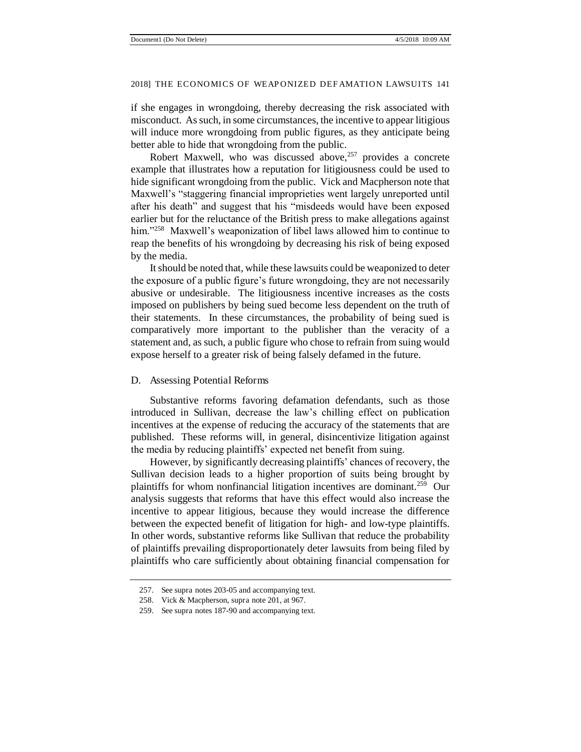if she engages in wrongdoing, thereby decreasing the risk associated with misconduct. As such, in some circumstances, the incentive to appear litigious will induce more wrongdoing from public figures, as they anticipate being better able to hide that wrongdoing from the public.

Robert Maxwell, who was discussed above,<sup>257</sup> provides a concrete example that illustrates how a reputation for litigiousness could be used to hide significant wrongdoing from the public. Vick and Macpherson note that Maxwell's "staggering financial improprieties went largely unreported until after his death" and suggest that his "misdeeds would have been exposed earlier but for the reluctance of the British press to make allegations against him."<sup>258</sup> Maxwell's weaponization of libel laws allowed him to continue to reap the benefits of his wrongdoing by decreasing his risk of being exposed by the media.

It should be noted that, while these lawsuits could be weaponized to deter the exposure of a public figure's future wrongdoing, they are not necessarily abusive or undesirable. The litigiousness incentive increases as the costs imposed on publishers by being sued become less dependent on the truth of their statements. In these circumstances, the probability of being sued is comparatively more important to the publisher than the veracity of a statement and, as such, a public figure who chose to refrain from suing would expose herself to a greater risk of being falsely defamed in the future.

#### D. Assessing Potential Reforms

Substantive reforms favoring defamation defendants, such as those introduced in Sullivan, decrease the law's chilling effect on publication incentives at the expense of reducing the accuracy of the statements that are published. These reforms will, in general, disincentivize litigation against the media by reducing plaintiffs' expected net benefit from suing.

However, by significantly decreasing plaintiffs' chances of recovery, the Sullivan decision leads to a higher proportion of suits being brought by plaintiffs for whom nonfinancial litigation incentives are dominant.<sup>259</sup> Our analysis suggests that reforms that have this effect would also increase the incentive to appear litigious, because they would increase the difference between the expected benefit of litigation for high- and low-type plaintiffs. In other words, substantive reforms like Sullivan that reduce the probability of plaintiffs prevailing disproportionately deter lawsuits from being filed by plaintiffs who care sufficiently about obtaining financial compensation for

<sup>257.</sup> See supra notes 203-05 and accompanying text.

<sup>258.</sup> Vick & Macpherson, supra note 201, at 967.

<sup>259.</sup> See supra notes 187-90 and accompanying text.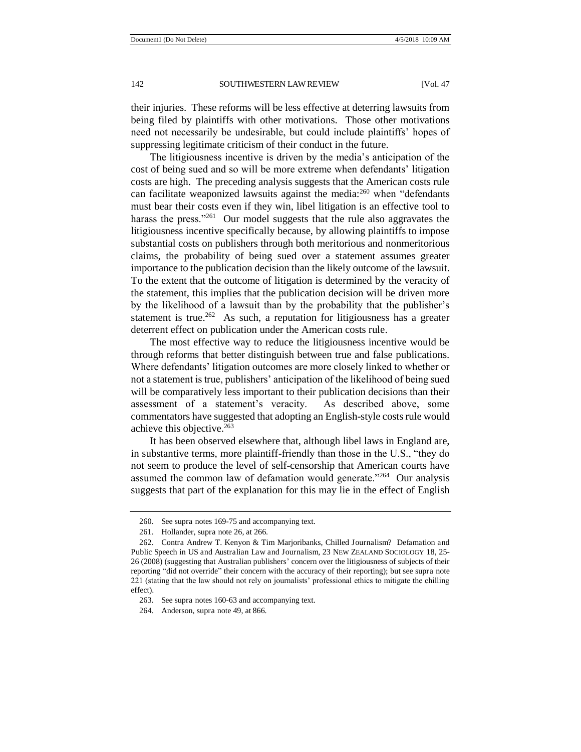their injuries. These reforms will be less effective at deterring lawsuits from being filed by plaintiffs with other motivations. Those other motivations need not necessarily be undesirable, but could include plaintiffs' hopes of suppressing legitimate criticism of their conduct in the future.

The litigiousness incentive is driven by the media's anticipation of the cost of being sued and so will be more extreme when defendants' litigation costs are high. The preceding analysis suggests that the American costs rule can facilitate weaponized lawsuits against the media: $^{260}$  when "defendants" must bear their costs even if they win, libel litigation is an effective tool to harass the press."<sup>261</sup> Our model suggests that the rule also aggravates the litigiousness incentive specifically because, by allowing plaintiffs to impose substantial costs on publishers through both meritorious and nonmeritorious claims, the probability of being sued over a statement assumes greater importance to the publication decision than the likely outcome of the lawsuit. To the extent that the outcome of litigation is determined by the veracity of the statement, this implies that the publication decision will be driven more by the likelihood of a lawsuit than by the probability that the publisher's statement is true.<sup>262</sup> As such, a reputation for litigiousness has a greater deterrent effect on publication under the American costs rule.

The most effective way to reduce the litigiousness incentive would be through reforms that better distinguish between true and false publications. Where defendants' litigation outcomes are more closely linked to whether or not a statement is true, publishers' anticipation of the likelihood of being sued will be comparatively less important to their publication decisions than their assessment of a statement's veracity. As described above, some commentators have suggested that adopting an English-style costs rule would achieve this objective.<sup>263</sup>

It has been observed elsewhere that, although libel laws in England are, in substantive terms, more plaintiff-friendly than those in the U.S., "they do not seem to produce the level of self-censorship that American courts have assumed the common law of defamation would generate."<sup>264</sup> Our analysis suggests that part of the explanation for this may lie in the effect of English

<sup>260.</sup> See supra notes 169-75 and accompanying text.

<sup>261.</sup> Hollander, supra note 26, at 266.

<sup>262.</sup> Contra Andrew T. Kenyon & Tim Marjoribanks, Chilled Journalism? Defamation and Public Speech in US and Australian Law and Journalism, 23 NEW ZEALAND SOCIOLOGY 18, 25- 26 (2008) (suggesting that Australian publishers' concern over the litigiousness of subjects of their reporting "did not override" their concern with the accuracy of their reporting); but see supra note 221 (stating that the law should not rely on journalists' professional ethics to mitigate the chilling effect).

<sup>263.</sup> See supra notes 160-63 and accompanying text.

<sup>264.</sup> Anderson, supra note 49, at 866.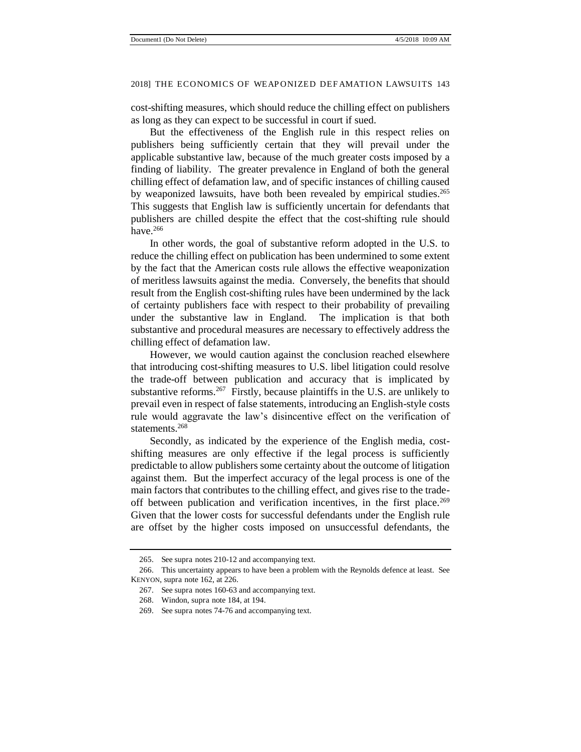cost-shifting measures, which should reduce the chilling effect on publishers as long as they can expect to be successful in court if sued.

But the effectiveness of the English rule in this respect relies on publishers being sufficiently certain that they will prevail under the applicable substantive law, because of the much greater costs imposed by a finding of liability. The greater prevalence in England of both the general chilling effect of defamation law, and of specific instances of chilling caused by weaponized lawsuits, have both been revealed by empirical studies.<sup>265</sup> This suggests that English law is sufficiently uncertain for defendants that publishers are chilled despite the effect that the cost-shifting rule should have.<sup>266</sup>

In other words, the goal of substantive reform adopted in the U.S. to reduce the chilling effect on publication has been undermined to some extent by the fact that the American costs rule allows the effective weaponization of meritless lawsuits against the media. Conversely, the benefits that should result from the English cost-shifting rules have been undermined by the lack of certainty publishers face with respect to their probability of prevailing under the substantive law in England. The implication is that both substantive and procedural measures are necessary to effectively address the chilling effect of defamation law.

However, we would caution against the conclusion reached elsewhere that introducing cost-shifting measures to U.S. libel litigation could resolve the trade-off between publication and accuracy that is implicated by substantive reforms.<sup>267</sup> Firstly, because plaintiffs in the U.S. are unlikely to prevail even in respect of false statements, introducing an English-style costs rule would aggravate the law's disincentive effect on the verification of statements.<sup>268</sup>

Secondly, as indicated by the experience of the English media, costshifting measures are only effective if the legal process is sufficiently predictable to allow publishers some certainty about the outcome of litigation against them. But the imperfect accuracy of the legal process is one of the main factors that contributes to the chilling effect, and gives rise to the tradeoff between publication and verification incentives, in the first place.<sup>269</sup> Given that the lower costs for successful defendants under the English rule are offset by the higher costs imposed on unsuccessful defendants, the

<sup>265.</sup> See supra notes 210-12 and accompanying text.

<sup>266.</sup> This uncertainty appears to have been a problem with the Reynolds defence at least. See KENYON, supra note 162, at 226.

<sup>267.</sup> See supra notes 160-63 and accompanying text.

<sup>268.</sup> Windon, supra note 184, at 194.

<sup>269.</sup> See supra notes 74-76 and accompanying text.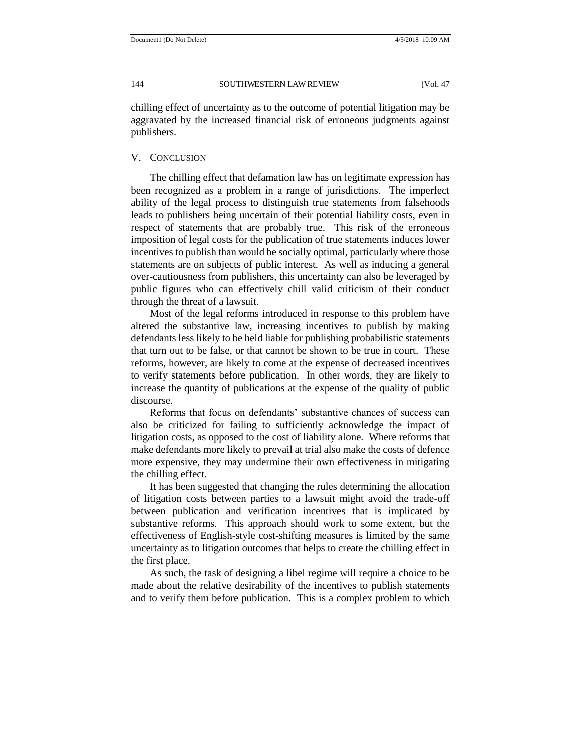chilling effect of uncertainty as to the outcome of potential litigation may be aggravated by the increased financial risk of erroneous judgments against publishers.

#### V. CONCLUSION

The chilling effect that defamation law has on legitimate expression has been recognized as a problem in a range of jurisdictions. The imperfect ability of the legal process to distinguish true statements from falsehoods leads to publishers being uncertain of their potential liability costs, even in respect of statements that are probably true. This risk of the erroneous imposition of legal costs for the publication of true statements induces lower incentives to publish than would be socially optimal, particularly where those statements are on subjects of public interest. As well as inducing a general over-cautiousness from publishers, this uncertainty can also be leveraged by public figures who can effectively chill valid criticism of their conduct through the threat of a lawsuit.

Most of the legal reforms introduced in response to this problem have altered the substantive law, increasing incentives to publish by making defendants less likely to be held liable for publishing probabilistic statements that turn out to be false, or that cannot be shown to be true in court. These reforms, however, are likely to come at the expense of decreased incentives to verify statements before publication. In other words, they are likely to increase the quantity of publications at the expense of the quality of public discourse.

Reforms that focus on defendants' substantive chances of success can also be criticized for failing to sufficiently acknowledge the impact of litigation costs, as opposed to the cost of liability alone. Where reforms that make defendants more likely to prevail at trial also make the costs of defence more expensive, they may undermine their own effectiveness in mitigating the chilling effect.

It has been suggested that changing the rules determining the allocation of litigation costs between parties to a lawsuit might avoid the trade-off between publication and verification incentives that is implicated by substantive reforms. This approach should work to some extent, but the effectiveness of English-style cost-shifting measures is limited by the same uncertainty as to litigation outcomes that helps to create the chilling effect in the first place.

As such, the task of designing a libel regime will require a choice to be made about the relative desirability of the incentives to publish statements and to verify them before publication. This is a complex problem to which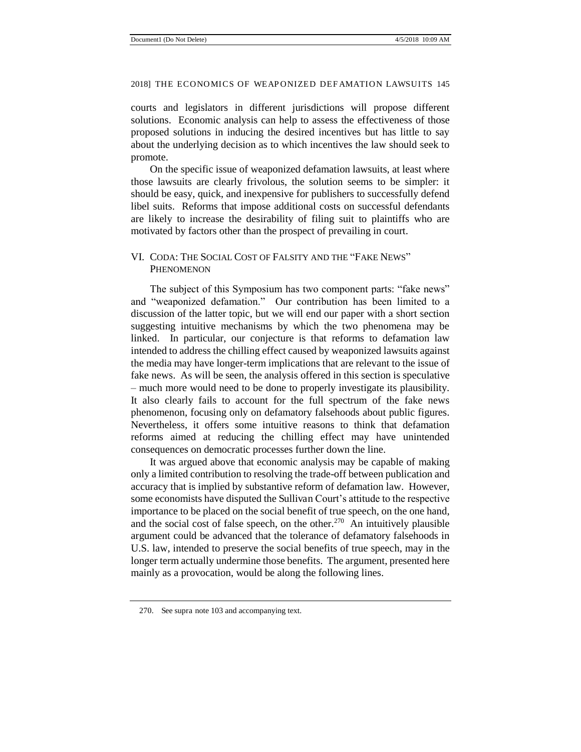courts and legislators in different jurisdictions will propose different solutions. Economic analysis can help to assess the effectiveness of those proposed solutions in inducing the desired incentives but has little to say about the underlying decision as to which incentives the law should seek to promote.

On the specific issue of weaponized defamation lawsuits, at least where those lawsuits are clearly frivolous, the solution seems to be simpler: it should be easy, quick, and inexpensive for publishers to successfully defend libel suits. Reforms that impose additional costs on successful defendants are likely to increase the desirability of filing suit to plaintiffs who are motivated by factors other than the prospect of prevailing in court.

#### VI. CODA: THE SOCIAL COST OF FALSITY AND THE "FAKE NEWS" **PHENOMENON**

The subject of this Symposium has two component parts: "fake news" and "weaponized defamation." Our contribution has been limited to a discussion of the latter topic, but we will end our paper with a short section suggesting intuitive mechanisms by which the two phenomena may be linked. In particular, our conjecture is that reforms to defamation law intended to address the chilling effect caused by weaponized lawsuits against the media may have longer-term implications that are relevant to the issue of fake news. As will be seen, the analysis offered in this section is speculative – much more would need to be done to properly investigate its plausibility. It also clearly fails to account for the full spectrum of the fake news phenomenon, focusing only on defamatory falsehoods about public figures. Nevertheless, it offers some intuitive reasons to think that defamation reforms aimed at reducing the chilling effect may have unintended consequences on democratic processes further down the line.

It was argued above that economic analysis may be capable of making only a limited contribution to resolving the trade-off between publication and accuracy that is implied by substantive reform of defamation law. However, some economists have disputed the Sullivan Court's attitude to the respective importance to be placed on the social benefit of true speech, on the one hand, and the social cost of false speech, on the other.<sup>270</sup> An intuitively plausible argument could be advanced that the tolerance of defamatory falsehoods in U.S. law, intended to preserve the social benefits of true speech, may in the longer term actually undermine those benefits. The argument, presented here mainly as a provocation, would be along the following lines.

<sup>270.</sup> See supra note 103 and accompanying text.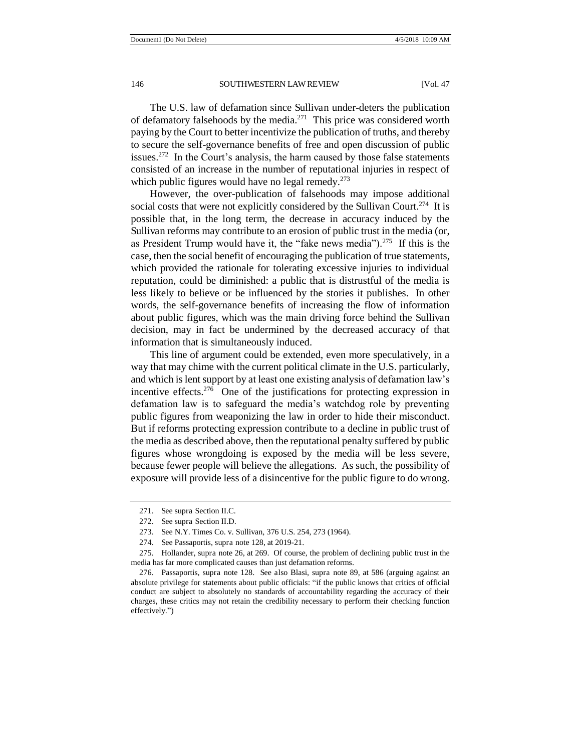The U.S. law of defamation since Sullivan under-deters the publication of defamatory falsehoods by the media.<sup>271</sup> This price was considered worth paying by the Court to better incentivize the publication of truths, and thereby to secure the self-governance benefits of free and open discussion of public issues.<sup>272</sup> In the Court's analysis, the harm caused by those false statements consisted of an increase in the number of reputational injuries in respect of which public figures would have no legal remedy. $273$ 

However, the over-publication of falsehoods may impose additional social costs that were not explicitly considered by the Sullivan Court.<sup>274</sup> It is possible that, in the long term, the decrease in accuracy induced by the Sullivan reforms may contribute to an erosion of public trust in the media (or, as President Trump would have it, the "fake news media").<sup>275</sup> If this is the case, then the social benefit of encouraging the publication of true statements, which provided the rationale for tolerating excessive injuries to individual reputation, could be diminished: a public that is distrustful of the media is less likely to believe or be influenced by the stories it publishes. In other words, the self-governance benefits of increasing the flow of information about public figures, which was the main driving force behind the Sullivan decision, may in fact be undermined by the decreased accuracy of that information that is simultaneously induced.

This line of argument could be extended, even more speculatively, in a way that may chime with the current political climate in the U.S. particularly, and which is lent support by at least one existing analysis of defamation law's incentive effects.<sup>276</sup> One of the justifications for protecting expression in defamation law is to safeguard the media's watchdog role by preventing public figures from weaponizing the law in order to hide their misconduct. But if reforms protecting expression contribute to a decline in public trust of the media as described above, then the reputational penalty suffered by public figures whose wrongdoing is exposed by the media will be less severe, because fewer people will believe the allegations. As such, the possibility of exposure will provide less of a disincentive for the public figure to do wrong.

274. See Passaportis, supra note 128, at 2019-21.

<sup>271.</sup> See supra Section II.C.

<sup>272.</sup> See supra Section II.D.

<sup>273.</sup> See N.Y. Times Co. v. Sullivan, 376 U.S. 254, 273 (1964).

<sup>275.</sup> Hollander, supra note 26, at 269. Of course, the problem of declining public trust in the media has far more complicated causes than just defamation reforms.

<sup>276.</sup> Passaportis, supra note 128. See also Blasi, supra note 89, at 586 (arguing against an absolute privilege for statements about public officials: "if the public knows that critics of official conduct are subject to absolutely no standards of accountability regarding the accuracy of their charges, these critics may not retain the credibility necessary to perform their checking function effectively.")